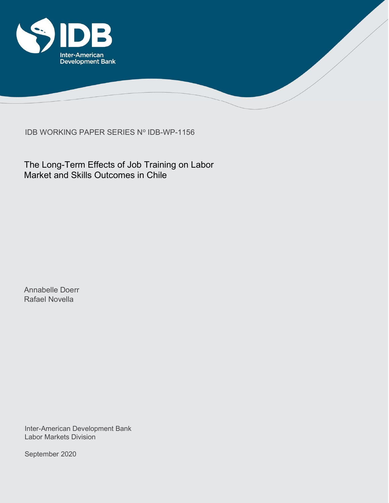

IDB WORKING PAPER SERIES Nº IDB-WP-1156

The Long-Term Effects of Job Training on Labor Market and Skills Outcomes in Chile

Annabelle Doerr Rafael Novella

Inter-American Development Bank Labor Markets Division

September 2020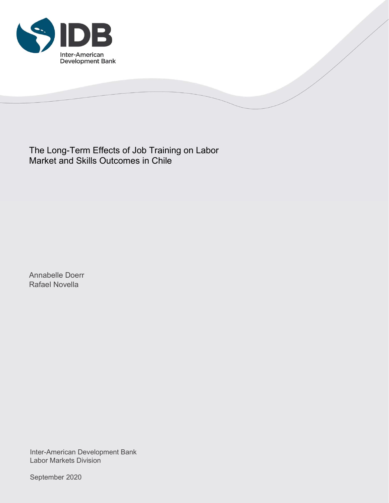

The Long-Term Effects of Job Training on Labor Market and Skills Outcomes in Chile

Annabelle Doerr Rafael Novella

Inter-American Development Bank Labor Markets Division

September 2020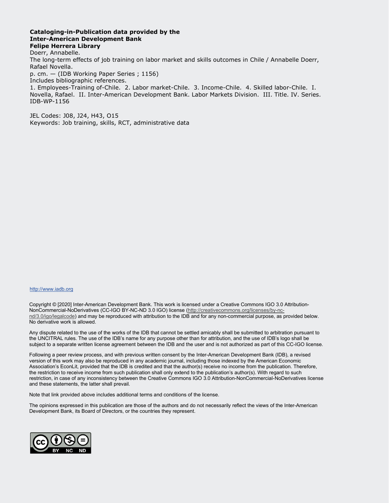#### Cataloging-in-Publication data provided by the Inter-American Development Bank Felipe Herrera Library

Doerr, Annabelle. The long-term effects of job training on labor market and skills outcomes in Chile / Annabelle Doerr, Rafael Novella. p. cm. — (IDB Working Paper Series ; 1156) Includes bibliographic references. 1. Employees-Training of-Chile. 2. Labor market-Chile. 3. Income-Chile. 4. Skilled labor-Chile. I. Novella, Rafael. II. Inter-American Development Bank. Labor Markets Division. III. Title. IV. Series. IDB-WP-1156

JEL Codes: J08, J24, H43, O15 Keywords: Job training, skills, RCT, administrative data

#### http://www.iadb.org

Copyright © [2020] Inter-American Development Bank. This work is licensed under a Creative Commons IGO 3.0 Attribution-NonCommercial-NoDerivatives (CC-IGO BY-NC-ND 3.0 IGO) license (http://creativecommons.org/licenses/by-ncnd/3.0/igo/legalcode) and may be reproduced with attribution to the IDB and for any non-commercial purpose, as provided below. No derivative work is allowed.

Any dispute related to the use of the works of the IDB that cannot be settled amicably shall be submitted to arbitration pursuant to the UNCITRAL rules. The use of the IDB's name for any purpose other than for attribution, and the use of IDB's logo shall be subject to a separate written license agreement between the IDB and the user and is not authorized as part of this CC-IGO license.

Following a peer review process, and with previous written consent by the Inter-American Development Bank (IDB), a revised version of this work may also be reproduced in any academic journal, including those indexed by the American Economic Association's EconLit, provided that the IDB is credited and that the author(s) receive no income from the publication. Therefore, the restriction to receive income from such publication shall only extend to the publication's author(s). With regard to such restriction, in case of any inconsistency between the Creative Commons IGO 3.0 Attribution-NonCommercial-NoDerivatives license and these statements, the latter shall prevail.

Note that link provided above includes additional terms and conditions of the license.

The opinions expressed in this publication are those of the authors and do not necessarily reflect the views of the Inter-American Development Bank, its Board of Directors, or the countries they represent.

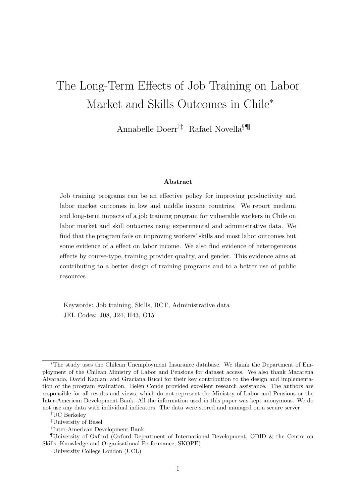# The Long-Term Effects of Job Training on Labor Market and Skills Outcomes in Chile<sup>∗</sup>

Annabelle Doerr†‡ Rafael Novella§¶k

## Abstract

Job training programs can be an effective policy for improving productivity and labor market outcomes in low and middle income countries. We report medium and long-term impacts of a job training program for vulnerable workers in Chile on labor market and skill outcomes using experimental and administrative data. We find that the program fails on improving workers' skills and most labor outcomes but some evidence of a effect on labor income. We also find evidence of heterogeneous effects by course-type, training provider quality, and gender. This evidence aims at contributing to a better design of training programs and to a better use of public resources.

Keywords: Job training, Skills, RCT, Administrative data JEL Codes: J08, J24, H43, O15

<sup>∗</sup>The study uses the Chilean Unemployment Insurance database. We thank the Department of Employment of the Chilean Ministry of Labor and Pensions for dataset access. We also thank Macarena Alvarado, David Kaplan, and Graciana Rucci for their key contribution to the design and implementation of the program evaluation. Belén Conde provided excellent research assistance. The authors are responsible for all results and views, which do not represent the Ministry of Labor and Pensions or the Inter-American Development Bank. All the information used in this paper was kept anonymous. We do not use any data with individual indicators. The data were stored and managed on a secure server.

<sup>†</sup>UC Berkeley

<sup>‡</sup>University of Basel

<sup>§</sup> Inter-American Development Bank

University of Oxford (Oxford Department of International Development, ODID  $\&$  the Centre on Skills, Knowledge and Organisational Performance, SKOPE)

 $\mathbb{U}$ University College London (UCL)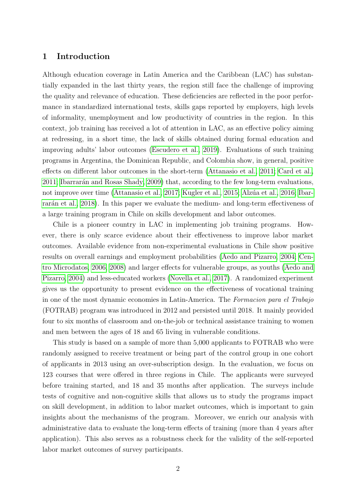## <span id="page-4-0"></span>1 Introduction

Although education coverage in Latin America and the Caribbean (LAC) has substantially expanded in the last thirty years, the region still face the challenge of improving the quality and relevance of education. These deficiencies are reflected in the poor performance in standardized international tests, skills gaps reported by employers, high levels of informality, unemployment and low productivity of countries in the region. In this context, job training has received a lot of attention in LAC, as an effective policy aiming at redressing, in a short time, the lack of skills obtained during formal education and improving adults' labor outcomes [\(Escudero et al., 2019\)](#page-31-0). Evaluations of such training programs in Argentina, the Dominican Republic, and Colombia show, in general, positive effects on different labor outcomes in the short-term [\(Attanasio et al., 2011;](#page-30-0) [Card et al.,](#page-30-1) [2011;](#page-30-1) Ibarrarán and Rosas Shady, 2009) that, according to the few long-term evaluations, not improve over time [\(Attanasio et al., 2017;](#page-30-2) [Kugler et al., 2015;](#page-32-1) Alzúa et al., 2016; [Ibar](#page-31-1)rara<sup>n</sup> et al., 2018). In this paper we evaluate the medium- and long-term effectiveness of a large training program in Chile on skills development and labor outcomes.

Chile is a pioneer country in LAC in implementing job training programs. However, there is only scarce evidence about their effectiveness to improve labor market outcomes. Available evidence from non-experimental evaluations in Chile show positive results on overall earnings and employment probabilities [\(Aedo and Pizarro, 2004;](#page-30-4) [Cen](#page-31-2)[tro Microdatos, 2006,](#page-31-2) [2008\)](#page-31-3) and larger effects for vulnerable groups, as youths [\(Aedo and](#page-30-4) [Pizarro, 2004\)](#page-30-4) and less-educated workers [\(Novella et al., 2017\)](#page-32-2). A randomized experiment gives us the opportunity to present evidence on the effectiveness of vocational training in one of the most dynamic economies in Latin-America. The Formacion para el Trabajo (FOTRAB) program was introduced in 2012 and persisted until 2018. It mainly provided four to six months of classroom and on-the-job or technical assistance training to women and men between the ages of 18 and 65 living in vulnerable conditions.

This study is based on a sample of more than 5,000 applicants to FOTRAB who were randomly assigned to receive treatment or being part of the control group in one cohort of applicants in 2013 using an over-subscription design. In the evaluation, we focus on 123 courses that were offered in three regions in Chile. The applicants were surveyed before training started, and 18 and 35 months after application. The surveys include tests of cognitive and non-cognitive skills that allows us to study the programs impact on skill development, in addition to labor market outcomes, which is important to gain insights about the mechanisms of the program. Moreover, we enrich our analysis with administrative data to evaluate the long-term effects of training (more than 4 years after application). This also serves as a robustness check for the validity of the self-reported labor market outcomes of survey participants.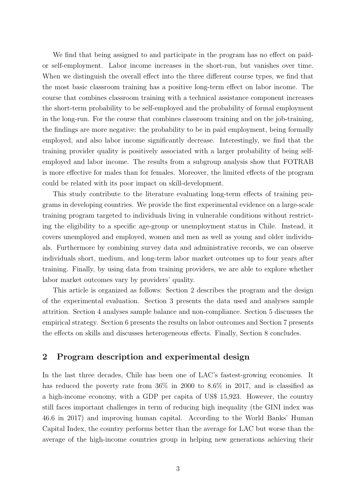We find that being assigned to and participate in the program has no effect on paidor self-employment. Labor income increases in the short-run, but vanishes over time. When we distinguish the overall effect into the three different course types, we find that the most basic classroom training has a positive long-term effect on labor income. The course that combines classroom training with a technical assistance component increases the short-term probability to be self-employed and the probability of formal employment in the long-run. For the course that combines classroom training and on the job-training, the findings are more negative: the probability to be in paid employment, being formally employed, and also labor income significantly decrease. Interestingly, we find that the training provider quality is positively associated with a larger probability of being selfemployed and labor income. The results from a subgroup analysis show that FOTRAB is more effective for males than for females. Moreover, the limited effects of the program could be related with its poor impact on skill-development.

This study contribute to the literature evaluating long-term effects of training programs in developing countries. We provide the first experimental evidence on a large-scale training program targeted to individuals living in vulnerable conditions without restricting the eligibility to a specific age-group or unemployment status in Chile. Instead, it covers unemployed and employed, women and men as well as young and older individuals. Furthermore by combining survey data and administrative records, we can observe individuals short, medium, and long-term labor market outcomes up to four years after training. Finally, by using data from training providers, we are able to explore whether labor market outcomes vary by providers' quality.

This article is organized as follows: Section 2 describes the program and the design of the experimental evaluation. Section 3 presents the data used and analyses sample attrition. Section 4 analyses sample balance and non-compliance. Section 5 discusses the empirical strategy. Section 6 presents the results on labor outcomes and Section 7 presents the effects on skills and discusses heterogeneous effects. Finally, Section 8 concludes.

## <span id="page-5-0"></span>2 Program description and experimental design

In the last three decades, Chile has been one of LAC's fastest-growing economies. It has reduced the poverty rate from 36% in 2000 to 8.6% in 2017, and is classified as a high-income economy, with a GDP per capita of US\$ 15,923. However, the country still faces important challenges in term of reducing high inequality (the GINI index was 46.6 in 2017) and improving human capital. According to the World Banks' Human Capital Index, the country performs better than the average for LAC but worse than the average of the high-income countries group in helping new generations achieving their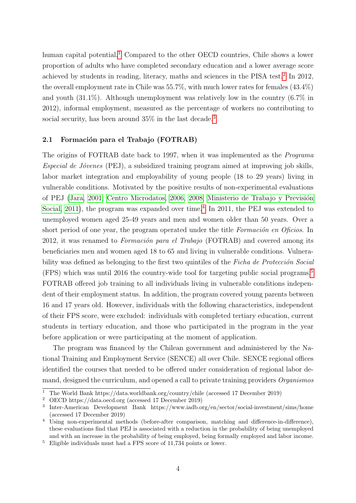human capital potential.<sup>[1](#page-6-0)</sup> Compared to the other OECD countries, Chile shows a lower proportion of adults who have completed secondary education and a lower average score achieved by students in reading, literacy, maths and sciences in the PISA test.<sup>[2](#page-6-1)</sup> In 2012, the overall employment rate in Chile was 55.7%, with much lower rates for females (43.4%) and youth (31.1%). Although unemployment was relatively low in the country (6.7% in 2012), informal employment, measured as the percentage of workers no contributing to social security, has been around  $35\%$  $35\%$  in the last decade.<sup>3</sup>

## 2.1 Formación para el Trabajo (FOTRAB)

The origins of FOTRAB date back to 1997, when it was implemented as the Programa  $Especial de Jóvenes (PEJ), a subsidized training program aimed at improving job skills,$ labor market integration and employability of young people (18 to 29 years) living in vulnerable conditions. Motivated by the positive results of non-experimental evaluations of PEJ [\(Jara, 2001;](#page-32-3) [Centro Microdatos, 2006,](#page-31-2) [2008;](#page-31-3) Ministerio de Trabajo y Previsión [Social, 2011\)](#page-32-4), the program was expanded over time.<sup>[4](#page-6-3)</sup> In 2011, the PEJ was extended to unemployed women aged 25-49 years and men and women older than 50 years. Over a short period of one year, the program operated under the title *Formación en Oficios*. In 2012, it was renamed to *Formación para el Trabajo* (FOTRAB) and covered among its beneficiaries men and women aged 18 to 65 and living in vulnerable conditions. Vulnerability was defined as belonging to the first two quintiles of the Ficha de Protección Social (FPS) which was until 2016 the country-wide tool for targeting public social programs.<sup>[5](#page-6-4)</sup> FOTRAB offered job training to all individuals living in vulnerable conditions independent of their employment status. In addition, the program covered young parents between 16 and 17 years old. However, individuals with the following characteristics, independent of their FPS score, were excluded: individuals with completed tertiary education, current students in tertiary education, and those who participated in the program in the year before application or were participating at the moment of application.

The program was financed by the Chilean government and administered by the National Training and Employment Service (SENCE) all over Chile. SENCE regional offices identified the courses that needed to be offered under consideration of regional labor demand, designed the curriculum, and opened a call to private training providers Organismos

<span id="page-6-0"></span><sup>&</sup>lt;sup>1</sup> The World Bank https://data.worldbank.org/country/chile (accessed 17 December 2019)<br><sup>2</sup> OECD https://data.oecd.org/accessed 17 December 2019)

<span id="page-6-1"></span><sup>2</sup> OECD https://data.oecd.org (accessed 17 December 2019)

<span id="page-6-2"></span><sup>3</sup> Inter-American Development Bank https://www.iadb.org/en/sector/social-investment/sims/home (accessed 17 December 2019)

<span id="page-6-3"></span><sup>&</sup>lt;sup>4</sup> Using non-experimental methods (before-after comparison, matching and difference-in-difference), these evaluations find that PEJ is associated with a reduction in the probability of being unemployed and with an increase in the probability of being employed, being formally employed and labor income.

<span id="page-6-4"></span> $^5$  Eligible individuals must had a FPS score of 11,734 points or lower.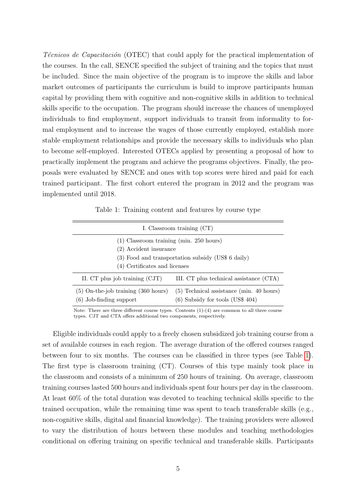Técnicos de Capacitación (OTEC) that could apply for the practical implementation of the courses. In the call, SENCE specified the subject of training and the topics that must be included. Since the main objective of the program is to improve the skills and labor market outcomes of participants the curriculum is build to improve participants human capital by providing them with cognitive and non-cognitive skills in addition to technical skills specific to the occupation. The program should increase the chances of unemployed individuals to find employment, support individuals to transit from informality to formal employment and to increase the wages of those currently employed, establish more stable employment relationships and provide the necessary skills to individuals who plan to become self-employed. Interested OTECs applied by presenting a proposal of how to practically implement the program and achieve the programs objectives. Finally, the proposals were evaluated by SENCE and ones with top scores were hired and paid for each trained participant. The first cohort entered the program in 2012 and the program was implemented until 2018.

Table 1: Training content and features by course type

<span id="page-7-0"></span>

| I. Classroom training (CT)                                                                                                                                 |                                                                                  |  |  |  |  |  |
|------------------------------------------------------------------------------------------------------------------------------------------------------------|----------------------------------------------------------------------------------|--|--|--|--|--|
| $(1)$ Classroom training (min. 250 hours)<br>(2) Accident insurance<br>(3) Food and transportation subsidy (US\$ 6 daily)<br>(4) Certificates and licenses |                                                                                  |  |  |  |  |  |
| II. CT plus job training (CJT)                                                                                                                             | III. CT plus technical assistance (CTA)                                          |  |  |  |  |  |
| $(5)$ On-the-job training $(360$ hours)<br>$(6)$ Job-finding support                                                                                       | $(5)$ Technical assistance (min. 40 hours)<br>$(6)$ Subsidy for tools (US\$ 404) |  |  |  |  |  |

Note: There are three different course types. Contents (1)-(4) are common to all three course types. CJT and CTA offers additional two components, respectively.

Eligible individuals could apply to a freely chosen subsidized job training course from a set of available courses in each region. The average duration of the offered courses ranged between four to six months. The courses can be classified in three types (see Table [1\)](#page-7-0). The first type is classroom training (CT). Courses of this type mainly took place in the classroom and consists of a minimum of 250 hours of training. On average, classroom training courses lasted 500 hours and individuals spent four hours per day in the classroom. At least 60% of the total duration was devoted to teaching technical skills specific to the trained occupation, while the remaining time was spent to teach transferable skills (e.g., non-cognitive skills, digital and financial knowledge). The training providers were allowed to vary the distribution of hours between these modules and teaching methodologies conditional on offering training on specific technical and transferable skills. Participants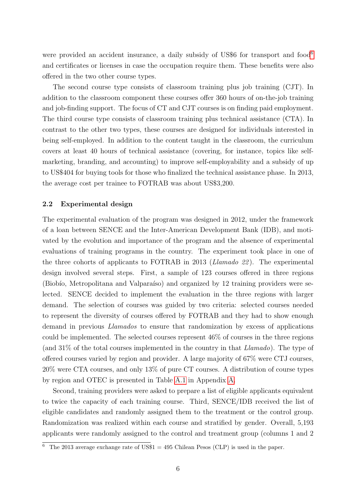were provided an accident insurance, a daily subsidy of US\$[6](#page-8-0) for transport and food<sup>6</sup> and certificates or licenses in case the occupation require them. These benefits were also offered in the two other course types.

The second course type consists of classroom training plus job training (CJT). In addition to the classroom component these courses offer 360 hours of on-the-job training and job-finding support. The focus of CT and CJT courses is on finding paid employment. The third course type consists of classroom training plus technical assistance (CTA). In contrast to the other two types, these courses are designed for individuals interested in being self-employed. In addition to the content taught in the classroom, the curriculum covers at least 40 hours of technical assistance (covering, for instance, topics like selfmarketing, branding, and accounting) to improve self-employability and a subsidy of up to US\$404 for buying tools for those who finalized the technical assistance phase. In 2013, the average cost per trainee to FOTRAB was about US\$3,200.

#### 2.2 Experimental design

The experimental evaluation of the program was designed in 2012, under the framework of a loan between SENCE and the Inter-American Development Bank (IDB), and motivated by the evolution and importance of the program and the absence of experimental evaluations of training programs in the country. The experiment took place in one of the three cohorts of applicants to FOTRAB in 2013 (Llamado 22 ). The experimental design involved several steps. First, a sample of 123 courses offered in three regions (Biobío, Metropolitana and Valparaíso) and organized by 12 training providers were selected. SENCE decided to implement the evaluation in the three regions with larger demand. The selection of courses was guided by two criteria: selected courses needed to represent the diversity of courses offered by FOTRAB and they had to show enough demand in previous Llamados to ensure that randomization by excess of applications could be implemented. The selected courses represent 46% of courses in the three regions (and 31% of the total courses implemented in the country in that Llamado). The type of offered courses varied by region and provider. A large majority of 67% were CTJ courses, 20% were CTA courses, and only 13% of pure CT courses. A distribution of course types by region and OTEC is presented in Table [A.1](#page-33-0) in Appendix [A.](#page-4-0)

Second, training providers were asked to prepare a list of eligible applicants equivalent to twice the capacity of each training course. Third, SENCE/IDB received the list of eligible candidates and randomly assigned them to the treatment or the control group. Randomization was realized within each course and stratified by gender. Overall, 5,193 applicants were randomly assigned to the control and treatment group (columns 1 and 2

<span id="page-8-0"></span><sup>&</sup>lt;sup>6</sup> The 2013 average exchange rate of US\$1 = 495 Chilean Pesos (CLP) is used in the paper.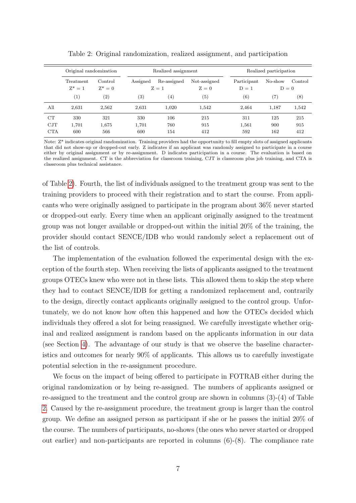<span id="page-9-0"></span>

|            | Original randomization |                      |          | Realized assignment  |                       |                        | Realized participation |         |
|------------|------------------------|----------------------|----------|----------------------|-----------------------|------------------------|------------------------|---------|
|            | Treatment<br>$Z^* = 1$ | Control<br>$Z^* = 0$ | Assigned | Re-assigned<br>$Z=1$ | Not-assigned<br>$Z=0$ | Participant<br>$D = 1$ | No-show<br>$D=0$       | Control |
|            | (1)                    | $\left( 2\right)$    | (3)      | $\left( 4\right)$    | $\left( 5\right)$     | (6)                    | (7)                    | (8)     |
| All        | 2,631                  | 2,562                | 2,631    | 1.020                | 1,542                 | 2.464                  | 1,187                  | 1,542   |
| CT         | 330                    | 321                  | 330      | 106                  | 215                   | 311                    | 125                    | 215     |
| CJT        | 1,701                  | 1,675                | 1,701    | 760                  | 915                   | 1,561                  | 900                    | 915     |
| <b>CTA</b> | 600                    | 566                  | 600      | 154                  | 412                   | 592                    | 162                    | 412     |

Table 2: Original randomization, realized assignment, and participation

Note: Z\* indicates original randomization. Training providers had the opportunity to fill empty slots of assigned applicants that did not show-up or dropped-out early. Z indicates if an applicant was randomly assigned to participate in a course either by original assignment or by re-assignment. D indicates participation in a course. The evaluation is based on the realized assignment. CT is the abbreviation for classroom training, CJT is classroom plus job training, and CTA is classroom plus technical assistance.

of Table [2\)](#page-9-0). Fourth, the list of individuals assigned to the treatment group was sent to the training providers to proceed with their registration and to start the course. From applicants who were originally assigned to participate in the program about 36% never started or dropped-out early. Every time when an applicant originally assigned to the treatment group was not longer available or dropped-out within the initial 20% of the training, the provider should contact SENCE/IDB who would randomly select a replacement out of the list of controls.

The implementation of the evaluation followed the experimental design with the exception of the fourth step. When receiving the lists of applicants assigned to the treatment groups OTECs knew who were not in these lists. This allowed them to skip the step where they had to contact SENCE/IDB for getting a randomized replacement and, contrarily to the design, directly contact applicants originally assigned to the control group. Unfortunately, we do not know how often this happened and how the OTECs decided which individuals they offered a slot for being reassigned. We carefully investigate whether original and realized assignment is random based on the applicants information in our data (see Section [4\)](#page-13-0). The advantage of our study is that we observe the baseline characteristics and outcomes for nearly 90% of applicants. This allows us to carefully investigate potential selection in the re-assignment procedure.

We focus on the impact of being offered to participate in FOTRAB either during the original randomization or by being re-assigned. The numbers of applicants assigned or re-assigned to the treatment and the control group are shown in columns (3)-(4) of Table [2.](#page-9-0) Caused by the re-assignment procedure, the treatment group is larger than the control group. We define an assigned person as participant if she or he passes the initial 20% of the course. The numbers of participants, no-shows (the ones who never started or dropped out earlier) and non-participants are reported in columns  $(6)-(8)$ . The compliance rate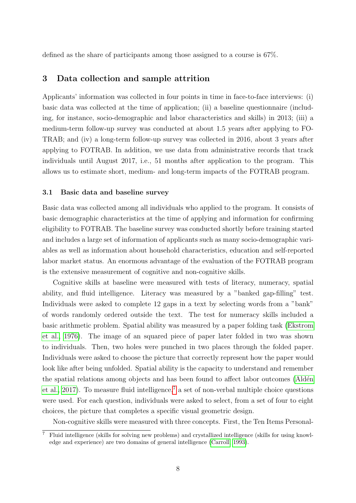defined as the share of participants among those assigned to a course is 67%.

## <span id="page-10-2"></span>3 Data collection and sample attrition

Applicants' information was collected in four points in time in face-to-face interviews: (i) basic data was collected at the time of application; (ii) a baseline questionnaire (including, for instance, socio-demographic and labor characteristics and skills) in 2013; (iii) a medium-term follow-up survey was conducted at about 1.5 years after applying to FO-TRAB; and (iv) a long-term follow-up survey was collected in 2016, about 3 years after applying to FOTRAB. In addition, we use data from administrative records that track individuals until August 2017, i.e., 51 months after application to the program. This allows us to estimate short, medium- and long-term impacts of the FOTRAB program.

#### <span id="page-10-1"></span>3.1 Basic data and baseline survey

Basic data was collected among all individuals who applied to the program. It consists of basic demographic characteristics at the time of applying and information for confirming eligibility to FOTRAB. The baseline survey was conducted shortly before training started and includes a large set of information of applicants such as many socio-demographic variables as well as information about household characteristics, education and self-reported labor market status. An enormous advantage of the evaluation of the FOTRAB program is the extensive measurement of cognitive and non-cognitive skills.

Cognitive skills at baseline were measured with tests of literacy, numeracy, spatial ability, and fluid intelligence. Literacy was measured by a "banked gap-filling" test. Individuals were asked to complete 12 gaps in a text by selecting words from a "bank" of words randomly ordered outside the text. The test for numeracy skills included a basic arithmetic problem. Spatial ability was measured by a paper folding task [\(Ekstrom](#page-31-4) [et al., 1976\)](#page-31-4). The image of an squared piece of paper later folded in two was shown to individuals. Then, two holes were punched in two places through the folded paper. Individuals were asked to choose the picture that correctly represent how the paper would look like after being unfolded. Spatial ability is the capacity to understand and remember the spatial relations among objects and has been found to affect labor outcomes (Aldén [et al., 2017\)](#page-30-5). To measure fluid intelligence,<sup>[7](#page-10-0)</sup> a set of non-verbal multiple choice questions were used. For each question, individuals were asked to select, from a set of four to eight choices, the picture that completes a specific visual geometric design.

Non-cognitive skills were measured with three concepts. First, the Ten Items Personal-

<span id="page-10-0"></span><sup>7</sup> Fluid intelligence (skills for solving new problems) and crystallized intelligence (skills for using knowledge and experience) are two domains of general intelligence [\(Carroll, 1993\)](#page-31-5).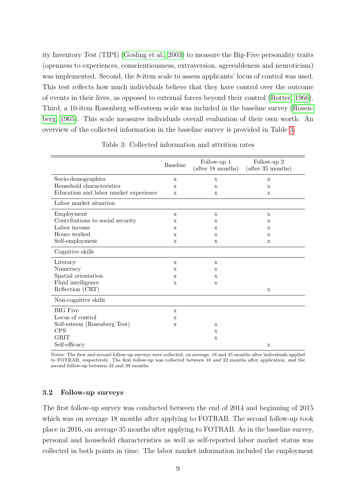ity Inventory Test (TIPI) [\(Gosling et al., 2003\)](#page-31-6) to measure the Big-Five personality traits (openness to experiences, conscientiousness, extraversion, agreeableness and neuroticism) was implemented. Second, the 8-item scale to assess applicants' locus of control was used. This test reflects how much individuals believe that they have control over the outcome of events in their lives, as opposed to external forces beyond their control [\(Rotter, 1966\)](#page-32-5). Third, a 10-item Rosenberg self-esteem scale was included in the baseline survey [\(Rosen](#page-32-6)[berg, 1965\)](#page-32-6). This scale measures individuals overall evaluation of their own worth. An overview of the collected information in the baseline survey is provided in Table [3.](#page-11-0)

<span id="page-11-0"></span>

|                                       | <b>Baseline</b> | Follow-up 1<br>$(\text{after } 18 \text{ months})$ | Follow-up 2<br>$(\text{after } 35 \text{ months})$ |
|---------------------------------------|-----------------|----------------------------------------------------|----------------------------------------------------|
| Socio-demographics                    | X               | $\mathbf x$                                        | $\mathbf x$                                        |
| Household characteristics             | $\mathbf x$     | $\mathbf x$                                        | $\mathbf x$                                        |
| Education and labor market experience | X               | $\mathbf x$                                        | X                                                  |
| Labor market situation                |                 |                                                    |                                                    |
| Employment                            | $\mathbf x$     | $\mathbf x$                                        | $\mathbf x$                                        |
| Contributions to social security      | X               | $\mathbf x$                                        | $\mathbf x$                                        |
| Labor income                          | X               | $\mathbf x$                                        | $\mathbf x$                                        |
| Hours worked                          | X               | $\mathbf x$                                        | X                                                  |
| Self-employment                       | X               | $\mathbf x$                                        | $\mathbf X$                                        |
| Cognitive skills                      |                 |                                                    |                                                    |
| Literacy                              | X               | $\mathbf x$                                        |                                                    |
| Numeracy                              | $\mathbf x$     | $\mathbf{x}$                                       |                                                    |
| Spatial orientation                   | X               | $\mathbf x$                                        |                                                    |
| Fluid intelligence                    | X               | $\mathbf x$                                        |                                                    |
| Reflection (CRT)                      |                 |                                                    | X                                                  |
| Non-cognitive skills                  |                 |                                                    |                                                    |
| <b>BIG</b> Five                       | $\mathbf x$     |                                                    |                                                    |
| Locus of control                      | $\mathbf x$     |                                                    |                                                    |
| Self-esteem (Rosenberg Test)          | X               | $\mathbf x$                                        |                                                    |
| <b>CPS</b>                            |                 | $\mathbf x$                                        |                                                    |
| <b>GRIT</b>                           |                 | $\mathbf x$                                        |                                                    |
| Self-efficacy                         |                 |                                                    | $\mathbf x$                                        |

Table 3: Collected information and attrition rates

Notes: The first and second follow-up surveys were collected, on average, 18 and 35 months after individuals applied to FOTRAB, respectively. The first follow-up was collected between 16 and 22 months after application, and the second follow-up between 32 and 39 months.

## 3.2 Follow-up surveys

The first follow-up survey was conducted between the end of 2014 and beginning of 2015 which was on average 18 months after applying to FOTRAB. The second follow-up took place in 2016, on average 35 months after applying to FOTRAB. As in the baseline survey, personal and household characteristics as well as self-reported labor market status was collected in both points in time. The labor market information included the employment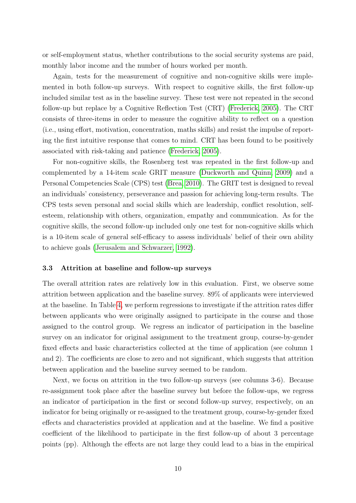or self-employment status, whether contributions to the social security systems are paid, monthly labor income and the number of hours worked per month.

Again, tests for the measurement of cognitive and non-cognitive skills were implemented in both follow-up surveys. With respect to cognitive skills, the first follow-up included similar test as in the baseline survey. These test were not repeated in the second follow-up but replace by a Cognitive Reflection Test (CRT) [\(Frederick, 2005\)](#page-31-7). The CRT consists of three-items in order to measure the cognitive ability to reflect on a question (i.e., using effort, motivation, concentration, maths skills) and resist the impulse of reporting the first intuitive response that comes to mind. CRT has been found to be positively associated with risk-taking and patience [\(Frederick, 2005\)](#page-31-7).

For non-cognitive skills, the Rosenberg test was repeated in the first follow-up and complemented by a 14-item scale GRIT measure [\(Duckworth and Quinn, 2009\)](#page-31-8) and a Personal Competencies Scale (CPS) test [\(Brea, 2010\)](#page-30-6). The GRIT test is designed to reveal an individuals' consistency, perseverance and passion for achieving long-term results. The CPS tests seven personal and social skills which are leadership, conflict resolution, selfesteem, relationship with others, organization, empathy and communication. As for the cognitive skills, the second follow-up included only one test for non-cognitive skills which is a 10-item scale of general self-efficacy to assess individuals' belief of their own ability to achieve goals [\(Jerusalem and Schwarzer, 1992\)](#page-32-7).

#### 3.3 Attrition at baseline and follow-up surveys

The overall attrition rates are relatively low in this evaluation. First, we observe some attrition between application and the baseline survey. 89% of applicants were interviewed at the baseline. In Table [4,](#page-13-1) we perform regressions to investigate if the attrition rates differ between applicants who were originally assigned to participate in the course and those assigned to the control group. We regress an indicator of participation in the baseline survey on an indicator for original assignment to the treatment group, course-by-gender fixed effects and basic characteristics collected at the time of application (see column 1 and 2). The coefficients are close to zero and not significant, which suggests that attrition between application and the baseline survey seemed to be random.

Next, we focus on attrition in the two follow-up surveys (see columns 3-6). Because re-assignment took place after the baseline survey but before the follow-ups, we regress an indicator of participation in the first or second follow-up survey, respectively, on an indicator for being originally or re-assigned to the treatment group, course-by-gender fixed effects and characteristics provided at application and at the baseline. We find a positive coefficient of the likelihood to participate in the first follow-up of about 3 percentage points (pp). Although the effects are not large they could lead to a bias in the empirical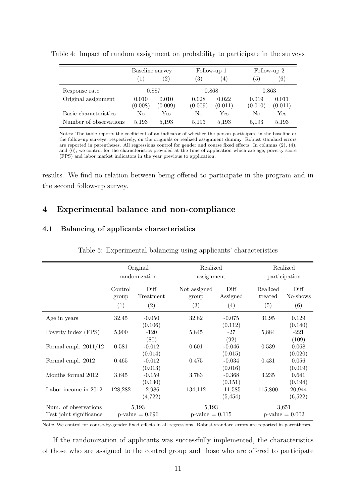|                        | Baseline survey  |                  |                  | Follow-up 1      |                  | Follow-up 2      |
|------------------------|------------------|------------------|------------------|------------------|------------------|------------------|
|                        | $\cdot$ 1)       | (2)              | 3)               | (4)              | (5)              | (6)              |
| Response rate          |                  | 0.887            |                  | 0.868            |                  | 0.863            |
| Original assignment    | 0.010<br>(0.008) | 0.010<br>(0.009) | 0.028<br>(0.009) | 0.022<br>(0.011) | 0.019<br>(0.010) | 0.011<br>(0.011) |
| Basic characteristics  | No               | Yes              | No               | $_{\rm Yes}$     | No               | Yes              |
| Number of observations | 5,193            | 5,193            | 5,193            | 5,193            | 5,193            | 5,193            |

<span id="page-13-1"></span>Table 4: Impact of random assignment on probability to participate in the surveys

Notes: The table reports the coefficient of an indicator of whether the person participate in the baseline or the follow-up surveys, respectively, on the originals or realized assignment dummy. Robust standard errors are reported in parentheses. All regressions control for gender and course fixed effects. In columns (2), (4), and (6), we control for the characteristics provided at the time of application which are age, poverty score (FPS) and labor market indicators in the year previous to application.

results. We find no relation between being offered to participate in the program and in the second follow-up survey.

# <span id="page-13-0"></span>4 Experimental balance and non-compliance

## <span id="page-13-2"></span>4.1 Balancing of applicants characteristics

|                                                 | Original<br>randomization |                             | Realized<br>assignment      |                       |                     | Realized<br>participation     |  |
|-------------------------------------------------|---------------------------|-----------------------------|-----------------------------|-----------------------|---------------------|-------------------------------|--|
|                                                 | Control<br>group          | Diff<br>Treatment           | Not assigned<br>group       | Diff<br>Assigned      | Realized<br>treated | Diff<br>No-shows              |  |
|                                                 | (1)                       | (2)                         | (3)                         | (4)                   | (5)                 | (6)                           |  |
| Age in years                                    | 32.45                     | $-0.050$<br>(0.106)         | 32.82                       | $-0.075$<br>(0.112)   | 31.95               | 0.129<br>(0.140)              |  |
| Poverty index (FPS)                             | 5,900                     | $-120$<br>(80)              | 5,845                       | $-27$<br>(92)         | 5,884               | $-221$<br>(109)               |  |
| Formal empl. $2011/12$                          | 0.581                     | $-0.012$<br>(0.014)         | 0.601                       | $-0.046$<br>(0.015)   | 0.539               | 0.068<br>(0.020)              |  |
| Formal empl. 2012                               | 0.465                     | $-0.012$<br>(0.013)         | 0.475                       | $-0.034$<br>(0.016)   | 0.431               | 0.056<br>(0.019)              |  |
| Months formal 2012                              | 3.645                     | $-0.159$<br>(0.130)         | 3.783                       | $-0.368$<br>(0.151)   | 3.235               | 0.641<br>(0.194)              |  |
| Labor income in 2012                            | 128,282                   | $-2,986$<br>(4,722)         | 134,112                     | $-11,585$<br>(5, 454) | 115,800             | 20,944<br>(6,522)             |  |
| Num. of observations<br>Test joint significance |                           | 5,193<br>$p$ -value = 0.696 | 5,193<br>$p$ -value = 0.115 |                       |                     | 3,651<br>$p$ -value $= 0.002$ |  |

Table 5: Experimental balancing using applicants' characteristics

Note: We control for course-by-gender fixed effects in all regressions. Robust standard errors are reported in parentheses.

If the randomization of applicants was successfully implemented, the characteristics of those who are assigned to the control group and those who are offered to participate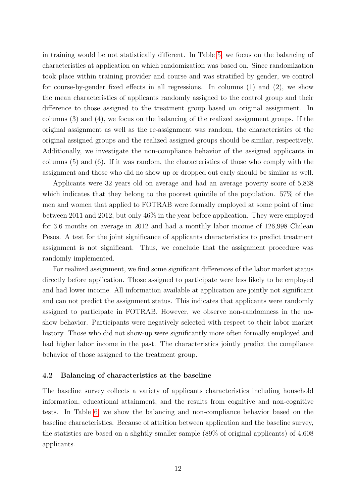in training would be not statistically different. In Table [5,](#page-13-2) we focus on the balancing of characteristics at application on which randomization was based on. Since randomization took place within training provider and course and was stratified by gender, we control for course-by-gender fixed effects in all regressions. In columns (1) and (2), we show the mean characteristics of applicants randomly assigned to the control group and their difference to those assigned to the treatment group based on original assignment. In columns (3) and (4), we focus on the balancing of the realized assignment groups. If the original assignment as well as the re-assignment was random, the characteristics of the original assigned groups and the realized assigned groups should be similar, respectively. Additionally, we investigate the non-compliance behavior of the assigned applicants in columns (5) and (6). If it was random, the characteristics of those who comply with the assignment and those who did no show up or dropped out early should be similar as well.

Applicants were 32 years old on average and had an average poverty score of 5,838 which indicates that they belong to the poorest quintile of the population. 57% of the men and women that applied to FOTRAB were formally employed at some point of time between 2011 and 2012, but only 46% in the year before application. They were employed for 3.6 months on average in 2012 and had a monthly labor income of 126,998 Chilean Pesos. A test for the joint significance of applicants characteristics to predict treatment assignment is not significant. Thus, we conclude that the assignment procedure was randomly implemented.

For realized assignment, we find some significant differences of the labor market status directly before application. Those assigned to participate were less likely to be employed and had lower income. All information available at application are jointly not significant and can not predict the assignment status. This indicates that applicants were randomly assigned to participate in FOTRAB. However, we observe non-randomness in the noshow behavior. Participants were negatively selected with respect to their labor market history. Those who did not show-up were significantly more often formally employed and had higher labor income in the past. The characteristics jointly predict the compliance behavior of those assigned to the treatment group.

#### 4.2 Balancing of characteristics at the baseline

The baseline survey collects a variety of applicants characteristics including household information, educational attainment, and the results from cognitive and non-cognitive tests. In Table [6,](#page-15-0) we show the balancing and non-compliance behavior based on the baseline characteristics. Because of attrition between application and the baseline survey, the statistics are based on a slightly smaller sample (89% of original applicants) of 4,608 applicants.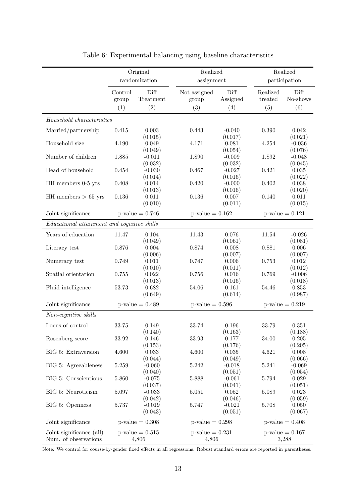<span id="page-15-0"></span>

|                                             |                         | Original<br>randomization | Realized<br>assignment       |                         |                            | Realized<br>participation |
|---------------------------------------------|-------------------------|---------------------------|------------------------------|-------------------------|----------------------------|---------------------------|
|                                             | Control<br>group<br>(1) | Diff<br>Treatment<br>(2)  | Not assigned<br>group<br>(3) | Diff<br>Assigned<br>(4) | Realized<br>treated<br>(5) | Diff<br>No-shows<br>(6)   |
| Household characteristics                   |                         |                           |                              |                         |                            |                           |
| Married/partnership                         | 0.415                   | 0.003                     | 0.443                        | $-0.040$                | 0.390                      | 0.042                     |
|                                             |                         | (0.015)                   |                              | (0.017)                 |                            | (0.021)                   |
| Household size                              | 4.190                   | 0.049                     | 4.171                        | 0.081                   | 4.254                      | $-0.036$                  |
|                                             |                         | (0.049)                   |                              | (0.054)                 |                            | (0.076)                   |
| Number of children                          | 1.885                   | $-0.011$                  | 1.890                        | $-0.009$                | 1.892                      | $-0.048$                  |
|                                             |                         | (0.032)                   |                              | (0.032)                 |                            | (0.045)                   |
| Head of household                           | 0.454                   | $-0.030$                  | 0.467                        | $-0.027$                | 0.421                      | $\,0.035\,$               |
|                                             |                         | (0.014)                   |                              | (0.016)                 |                            | (0.022)                   |
| HH members 0-5 yrs                          | 0.408                   | 0.014<br>(0.013)          | 0.420                        | $-0.000$<br>(0.016)     | 0.402                      | 0.038<br>(0.020)          |
| HH members $> 65$ yrs                       | 0.136                   | $0.011\,$                 | 0.136                        | 0.007                   | 0.140                      | 0.011                     |
|                                             |                         | (0.010)                   |                              | (0.011)                 |                            | (0.015)                   |
| Joint significance                          |                         | $p$ -value = 0.746        | $p$ -value = 0.162           |                         |                            | $p$ -value = 0.121        |
| Educational attainment and cognitive skills |                         |                           |                              |                         |                            |                           |
|                                             |                         |                           |                              |                         |                            |                           |
| Years of education                          | 11.47                   | 0.104                     | 11.43                        | 0.076                   | 11.54                      | $-0.026$                  |
| Literacy test                               | 0.876                   | (0.049)<br>0.004          | 0.874                        | (0.061)<br>0.008        | 0.881                      | (0.081)<br>0.006          |
|                                             |                         | (0.006)                   |                              | (0.007)                 |                            | (0.007)                   |
| Numeracy test                               | 0.749                   | 0.011                     | 0.747                        | $0.006\,$               | 0.753                      | 0.012                     |
|                                             |                         | (0.010)                   |                              | (0.011)                 |                            | (0.012)                   |
| Spatial orientation                         | 0.755                   | 0.022                     | 0.756                        | $0.016\,$               | 0.769                      | $-0.006$                  |
|                                             |                         | (0.013)                   |                              | (0.016)                 |                            | (0.018)                   |
| Fluid intelligence                          | 53.73                   | 0.682                     | 54.06                        | 0.161                   | 54.46                      | 0.853                     |
|                                             |                         | (0.649)                   |                              | (0.614)                 |                            | (0.987)                   |
| Joint significance                          |                         | $p$ -value = $0.489$      | $p$ -value = 0.596           |                         |                            | $p$ -value = $0.219$      |
| Non-cognitive skills                        |                         |                           |                              |                         |                            |                           |
| Locus of control                            | 33.75                   | 0.149                     | 33.74                        | 0.196                   | 33.79                      | 0.351                     |
|                                             |                         | (0.140)                   |                              | (0.163)                 |                            | (0.188)                   |
| Rosenberg score                             | 33.92                   | 0.146                     | 33.93                        | 0.177                   | 34.00                      | 0.205                     |
|                                             |                         | (0.153)                   |                              | (0.176)                 |                            | (0.205)                   |
| BIG 5: Extraversion                         | 4.600                   | 0.033                     | 4.600                        | 0.035                   | 4.621                      | 0.008                     |
|                                             |                         | (0.044)                   |                              | (0.049)                 |                            | (0.066)                   |
| BIG 5: Agreeableness                        | $5.259\,$               | $-0.060$                  | $5.242\,$                    | $-0.018$                | 5.241                      | $-0.069$                  |
|                                             |                         | (0.040)                   |                              | (0.051)                 |                            | (0.054)                   |
| BIG 5: Conscientious                        | 5.860                   | $-0.075$                  | 5.888                        | $-0.061$                | 5.794                      | $\,0.029\,$               |
|                                             |                         | (0.037)                   |                              | (0.041)                 |                            | (0.051)                   |
| BIG 5: Neuroticism                          | 5.097                   | $-0.033$<br>(0.042)       | $5.051\,$                    | $0.052\,$<br>(0.046)    | 5.089                      | 0.023<br>(0.059)          |
| BIG 5: Openness                             | 5.737                   | $-0.019$                  | 5.747                        | $-0.021$                | 5.708                      | 0.050                     |
|                                             |                         | (0.043)                   |                              | (0.051)                 |                            | (0.067)                   |
| Joint significance                          |                         | $p$ -value = 0.308        | $p$ -value = 0.298           |                         |                            | $p$ -value = 0.408        |
| Joint significance (all)                    |                         | $p$ -value = $0.515$      | $p$ -value = 0.231           |                         |                            | $p$ -value = 0.167        |
| Num. of observations                        |                         | 4,806                     | 4,806                        |                         |                            | 3,288                     |

Table 6: Experimental balancing using baseline characteristics

Note: We control for course-by-gender fixed effects in all regressions. Robust standard errors are reported in parentheses.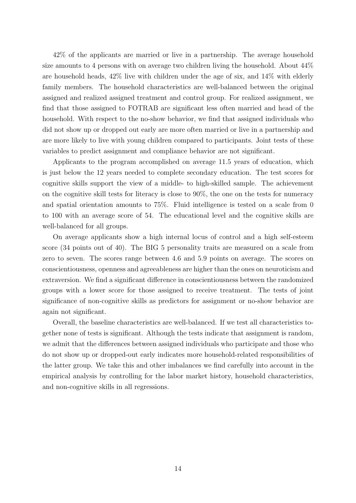42% of the applicants are married or live in a partnership. The average household size amounts to 4 persons with on average two children living the household. About 44% are household heads, 42% live with children under the age of six, and 14% with elderly family members. The household characteristics are well-balanced between the original assigned and realized assigned treatment and control group. For realized assignment, we find that those assigned to FOTRAB are significant less often married and head of the household. With respect to the no-show behavior, we find that assigned individuals who did not show up or dropped out early are more often married or live in a partnership and are more likely to live with young children compared to participants. Joint tests of these variables to predict assignment and compliance behavior are not significant.

Applicants to the program accomplished on average 11.5 years of education, which is just below the 12 years needed to complete secondary education. The test scores for cognitive skills support the view of a middle- to high-skilled sample. The achievement on the cognitive skill tests for literacy is close to 90%, the one on the tests for numeracy and spatial orientation amounts to 75%. Fluid intelligence is tested on a scale from 0 to 100 with an average score of 54. The educational level and the cognitive skills are well-balanced for all groups.

On average applicants show a high internal locus of control and a high self-esteem score (34 points out of 40). The BIG 5 personality traits are measured on a scale from zero to seven. The scores range between 4.6 and 5.9 points on average. The scores on conscientiousness, openness and agreeableness are higher than the ones on neuroticism and extraversion. We find a significant difference in conscientiousness between the randomized groups with a lower score for those assigned to receive treatment. The tests of joint significance of non-cognitive skills as predictors for assignment or no-show behavior are again not significant.

Overall, the baseline characteristics are well-balanced. If we test all characteristics together none of tests is significant. Although the tests indicate that assignment is random, we admit that the differences between assigned individuals who participate and those who do not show up or dropped-out early indicates more household-related responsibilities of the latter group. We take this and other imbalances we find carefully into account in the empirical analysis by controlling for the labor market history, household characteristics, and non-cognitive skills in all regressions.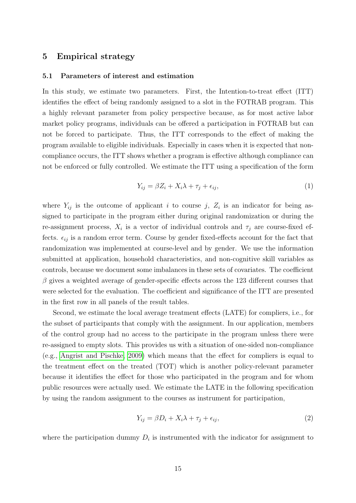## 5 Empirical strategy

#### 5.1 Parameters of interest and estimation

In this study, we estimate two parameters. First, the Intention-to-treat effect (ITT) identifies the effect of being randomly assigned to a slot in the FOTRAB program. This a highly relevant parameter from policy perspective because, as for most active labor market policy programs, individuals can be offered a participation in FOTRAB but can not be forced to participate. Thus, the ITT corresponds to the effect of making the program available to eligible individuals. Especially in cases when it is expected that noncompliance occurs, the ITT shows whether a program is effective although compliance can not be enforced or fully controlled. We estimate the ITT using a specification of the form

$$
Y_{ij} = \beta Z_i + X_i \lambda + \tau_j + \epsilon_{ij},\tag{1}
$$

where  $Y_{ij}$  is the outcome of applicant i to course j,  $Z_i$  is an indicator for being assigned to participate in the program either during original randomization or during the re-assignment process,  $X_i$  is a vector of individual controls and  $\tau_j$  are course-fixed effects.  $\epsilon_{ij}$  is a random error term. Course by gender fixed-effects account for the fact that randomization was implemented at course-level and by gender. We use the information submitted at application, household characteristics, and non-cognitive skill variables as controls, because we document some imbalances in these sets of covariates. The coefficient  $\beta$  gives a weighted average of gender-specific effects across the 123 different courses that were selected for the evaluation. The coefficient and significance of the ITT are presented in the first row in all panels of the result tables.

Second, we estimate the local average treatment effects (LATE) for compliers, i.e., for the subset of participants that comply with the assignment. In our application, members of the control group had no access to the participate in the program unless there were re-assigned to empty slots. This provides us with a situation of one-sided non-compliance (e.g., [Angrist and Pischke, 2009\)](#page-30-7) which means that the effect for compliers is equal to the treatment effect on the treated (TOT) which is another policy-relevant parameter because it identifies the effect for those who participated in the program and for whom public resources were actually used. We estimate the LATE in the following specification by using the random assignment to the courses as instrument for participation,

$$
Y_{ij} = \beta D_i + X_i \lambda + \tau_j + \epsilon_{ij},\tag{2}
$$

where the participation dummy  $D_i$  is instrumented with the indicator for assignment to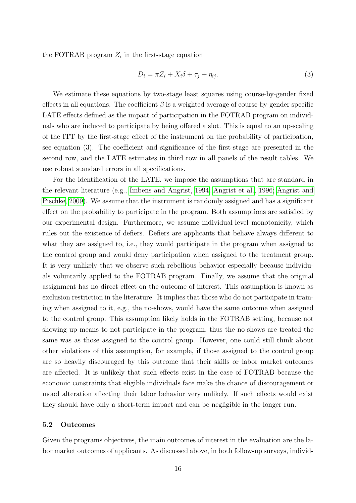the FOTRAB program  $Z_i$  in the first-stage equation

$$
D_i = \pi Z_i + X_i \delta + \tau_j + \eta_{ij}.
$$
\n<sup>(3)</sup>

We estimate these equations by two-stage least squares using course-by-gender fixed effects in all equations. The coefficient  $\beta$  is a weighted average of course-by-gender specific LATE effects defined as the impact of participation in the FOTRAB program on individuals who are induced to participate by being offered a slot. This is equal to an up-scaling of the ITT by the first-stage effect of the instrument on the probability of participation, see equation (3). The coefficient and significance of the first-stage are presented in the second row, and the LATE estimates in third row in all panels of the result tables. We use robust standard errors in all specifications.

For the identification of the LATE, we impose the assumptions that are standard in the relevant literature (e.g., [Imbens and Angrist, 1994;](#page-32-8) [Angrist et al., 1996;](#page-30-8) [Angrist and](#page-30-7) [Pischke, 2009\)](#page-30-7). We assume that the instrument is randomly assigned and has a significant effect on the probability to participate in the program. Both assumptions are satisfied by our experimental design. Furthermore, we assume individual-level monotonicity, which rules out the existence of defiers. Defiers are applicants that behave always different to what they are assigned to, i.e., they would participate in the program when assigned to the control group and would deny participation when assigned to the treatment group. It is very unlikely that we observe such rebellious behavior especially because individuals voluntarily applied to the FOTRAB program. Finally, we assume that the original assignment has no direct effect on the outcome of interest. This assumption is known as exclusion restriction in the literature. It implies that those who do not participate in training when assigned to it, e.g., the no-shows, would have the same outcome when assigned to the control group. This assumption likely holds in the FOTRAB setting, because not showing up means to not participate in the program, thus the no-shows are treated the same was as those assigned to the control group. However, one could still think about other violations of this assumption, for example, if those assigned to the control group are so heavily discouraged by this outcome that their skills or labor market outcomes are affected. It is unlikely that such effects exist in the case of FOTRAB because the economic constraints that eligible individuals face make the chance of discouragement or mood alteration affecting their labor behavior very unlikely. If such effects would exist they should have only a short-term impact and can be negligible in the longer run.

## 5.2 Outcomes

Given the programs objectives, the main outcomes of interest in the evaluation are the labor market outcomes of applicants. As discussed above, in both follow-up surveys, individ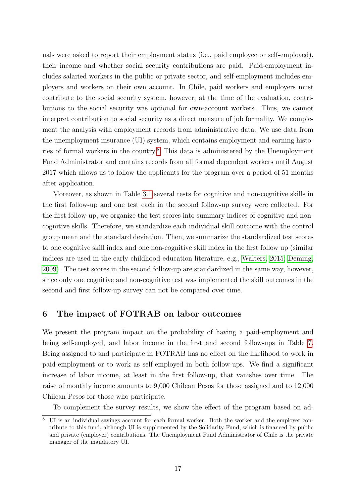uals were asked to report their employment status (i.e., paid employee or self-employed), their income and whether social security contributions are paid. Paid-employment includes salaried workers in the public or private sector, and self-employment includes employers and workers on their own account. In Chile, paid workers and employers must contribute to the social security system, however, at the time of the evaluation, contributions to the social security was optional for own-account workers. Thus, we cannot interpret contribution to social security as a direct measure of job formality. We complement the analysis with employment records from administrative data. We use data from the unemployment insurance (UI) system, which contains employment and earning histories of formal workers in the country.[8](#page-19-0) This data is administered by the Unemployment Fund Administrator and contains records from all formal dependent workers until August 2017 which allows us to follow the applicants for the program over a period of 51 months after application.

Moreover, as shown in Table [3.1](#page-10-1) several tests for cognitive and non-cognitive skills in the first follow-up and one test each in the second follow-up survey were collected. For the first follow-up, we organize the test scores into summary indices of cognitive and noncognitive skills. Therefore, we standardize each individual skill outcome with the control group mean and the standard deviation. Then, we summarize the standardized test scores to one cognitive skill index and one non-cognitive skill index in the first follow up (similar indices are used in the early childhood education literature, e.g., [Walters, 2015;](#page-32-9) [Deming,](#page-31-9) [2009\)](#page-31-9). The test scores in the second follow-up are standardized in the same way, however, since only one cognitive and non-cognitive test was implemented the skill outcomes in the second and first follow-up survey can not be compared over time.

## 6 The impact of FOTRAB on labor outcomes

We present the program impact on the probability of having a paid-employment and being self-employed, and labor income in the first and second follow-ups in Table [7.](#page-20-0) Being assigned to and participate in FOTRAB has no effect on the likelihood to work in paid-employment or to work as self-employed in both follow-ups. We find a significant increase of labor income, at least in the first follow-up, that vanishes over time. The raise of monthly income amounts to 9,000 Chilean Pesos for those assigned and to 12,000 Chilean Pesos for those who participate.

To complement the survey results, we show the effect of the program based on ad-

<span id="page-19-0"></span>UI is an individual savings account for each formal worker. Both the worker and the employer contribute to this fund, although UI is supplemented by the Solidarity Fund, which is financed by public and private (employer) contributions. The Unemployment Fund Administrator of Chile is the private manager of the mandatory UI.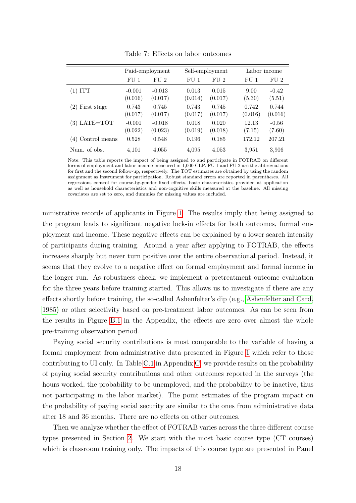<span id="page-20-0"></span>

|                   | Paid-employment     |                     |                  | Self-employment  | Labor income     |                   |  |
|-------------------|---------------------|---------------------|------------------|------------------|------------------|-------------------|--|
|                   | FU <sub>1</sub>     | FU <sub>2</sub>     | FU <sub>1</sub>  | FU <sub>2</sub>  | FU 1             | FU <sub>2</sub>   |  |
| $(1)$ ITT         | $-0.001$<br>(0.016) | $-0.013$<br>(0.017) | 0.013<br>(0.014) | 0.015<br>(0.017) | 9.00<br>(5.30)   | $-0.42$<br>(5.51) |  |
| $(2)$ First stage | 0.743<br>(0.017)    | 0.745<br>(0.017)    | 0.743<br>(0.017) | 0.745<br>(0.017) | 0.742<br>(0.016) | 0.744<br>(0.016)  |  |
| $(3)$ LATE=TOT    | $-0.001$<br>(0.022) | $-0.018$<br>(0.023) | 0.018<br>(0.019) | 0.020<br>(0.018) | 12.13<br>(7.15)  | $-0.56$<br>(7.60) |  |
| (4) Control means | 0.528               | 0.548               | 0.196            | 0.185            | 172.12           | 207.21            |  |
| Num. of obs.      | 4,101               | 4,055               | 4,095            | 4,053            | 3,951            | 3.906             |  |

Table 7: Effects on labor outcomes

Note: This table reports the impact of being assigned to and participate in FOTRAB on different forms of employment and labor income measured in 1,000 CLP. FU 1 and FU 2 are the abbreviations for first and the second follow-up, respectively. The TOT estimates are obtained by using the random assignment as instrument for participation. Robust standard errors are reported in parentheses. All regressions control for course-by-gender fixed effects, basic characteristics provided at application as well as household characteristics and non-cognitive skills measured at the baseline. All missing covariates are set to zero, and dummies for missing values are included.

ministrative records of applicants in Figure [1.](#page-21-0) The results imply that being assigned to the program leads to significant negative lock-in effects for both outcomes, formal employment and income. These negative effects can be explained by a lower search intensity of participants during training. Around a year after applying to FOTRAB, the effects increases sharply but never turn positive over the entire observational period. Instead, it seems that they evolve to a negative effect on formal employment and formal income in the longer run. As robustness check, we implement a pretreatment outcome evaluation for the three years before training started. This allows us to investigate if there are any effects shortly before training, the so-called Ashenfelter's dip (e.g., [Ashenfelter and Card,](#page-30-9) [1985\)](#page-30-9) or other selectivity based on pre-treatment labor outcomes. As can be seen from the results in Figure [B.1](#page-34-0) in the Appendix, the effects are zero over almost the whole pre-training observation period.

Paying social security contributions is most comparable to the variable of having a formal employment from administrative data presented in Figure [1](#page-21-0) which refer to those contributing to UI only. In Table [C.1](#page-35-0) in Appendix [C,](#page-10-2) we provide results on the probability of paying social security contributions and other outcomes reported in the surveys (the hours worked, the probability to be unemployed, and the probability to be inactive, thus not participating in the labor market). The point estimates of the program impact on the probability of paying social security are similar to the ones from administrative data after 18 and 36 months. There are no effects on other outcomes.

Then we analyze whether the effect of FOTRAB varies across the three different course types presented in Section [2.](#page-5-0) We start with the most basic course type (CT courses) which is classroom training only. The impacts of this course type are presented in Panel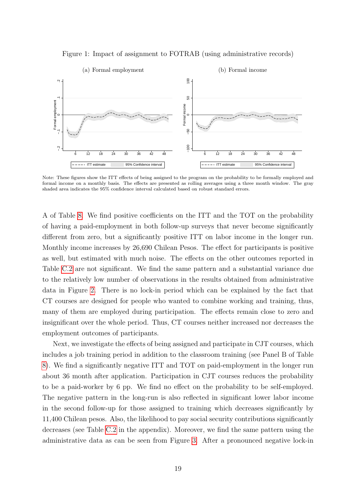Figure 1: Impact of assignment to FOTRAB (using administrative records)

<span id="page-21-0"></span>

Note: These figures show the ITT effects of being assigned to the program on the probability to be formally employed and formal income on a monthly basis. The effects are presented as rolling averages using a three month window. The gray shaded area indicates the 95% confidence interval calculated based on robust standard errors.

A of Table [8.](#page-22-0) We find positive coefficients on the ITT and the TOT on the probability of having a paid-employment in both follow-up surveys that never become significantly different from zero, but a significantly positive ITT on labor income in the longer run. Monthly income increases by 26,690 Chilean Pesos. The effect for participants is positive as well, but estimated with much noise. The effects on the other outcomes reported in Table [C.2](#page-36-0) are not significant. We find the same pattern and a substantial variance due to the relatively low number of observations in the results obtained from administrative data in Figure [2.](#page-23-0) There is no lock-in period which can be explained by the fact that CT courses are designed for people who wanted to combine working and training, thus, many of them are employed during participation. The effects remain close to zero and insignificant over the whole period. Thus, CT courses neither increased nor decreases the employment outcomes of participants.

Next, we investigate the effects of being assigned and participate in CJT courses, which includes a job training period in addition to the classroom training (see Panel B of Table [8\)](#page-22-0). We find a significantly negative ITT and TOT on paid-employment in the longer run about 36 month after application. Participation in CJT courses reduces the probability to be a paid-worker by 6 pp. We find no effect on the probability to be self-employed. The negative pattern in the long-run is also reflected in significant lower labor income in the second follow-up for those assigned to training which decreases significantly by 11,400 Chilean pesos. Also, the likelihood to pay social security contributions significantly decreases (see Table [C.2](#page-36-0) in the appendix). Moreover, we find the same pattern using the administrative data as can be seen from Figure [3.](#page-23-1) After a pronounced negative lock-in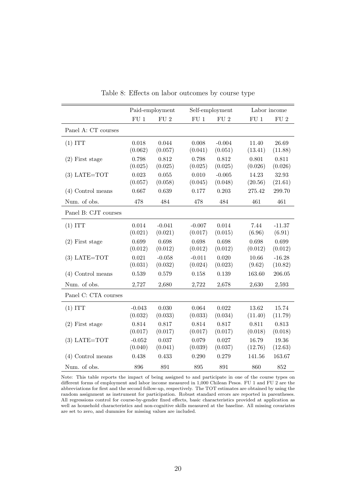<span id="page-22-0"></span>

|                      | Paid-employment |              |              |                 | Labor income |              |  |
|----------------------|-----------------|--------------|--------------|-----------------|--------------|--------------|--|
|                      |                 |              |              | Self-employment |              |              |  |
|                      | ${\rm FU}$ 1    | ${\rm FU}$ 2 | ${\rm FU}$ 1 | ${\rm FU}$ 2    | ${\rm FU}$ 1 | ${\rm FU}$ 2 |  |
| Panel A: CT courses  |                 |              |              |                 |              |              |  |
| (1) ITT              | 0.018           | 0.044        | 0.008        | $-0.004$        | 11.40        | 26.69        |  |
|                      | (0.062)         | (0.057)      | (0.041)      | (0.051)         | (13.41)      | (11.88)      |  |
| $(2)$ First stage    | 0.798           | 0.812        | 0.798        | 0.812           | 0.801        | 0.811        |  |
|                      | (0.025)         | (0.025)      | (0.025)      | (0.025)         | (0.026)      | (0.026)      |  |
| $(3)$ LATE=TOT       | 0.023           | 0.055        | 0.010        | $-0.005$        | 14.23        | 32.93        |  |
|                      | (0.057)         | (0.058)      | (0.045)      | (0.048)         | (20.56)      | (21.61)      |  |
| $(4)$ Control means  | 0.667           | 0.639        | 0.177        | 0.203           | 275.42       | 299.70       |  |
| Num. of obs.         | 478             | 484          | 478          | 484             | 461          | 461          |  |
| Panel B: CJT courses |                 |              |              |                 |              |              |  |
| (1) ITT              | 0.014           | $-0.041$     | $-0.007$     | 0.014           | 7.44         | $-11.37$     |  |
|                      | (0.021)         | (0.021)      | (0.017)      | (0.015)         | (6.96)       | (6.91)       |  |
| $(2)$ First stage    | 0.699           | 0.698        | 0.698        | 0.698           | 0.698        | 0.699        |  |
|                      | (0.012)         | (0.012)      | (0.012)      | (0.012)         | (0.012)      | (0.012)      |  |
| $(3)$ LATE=TOT       | 0.021           | $-0.058$     | $-0.011$     | 0.020           | 10.66        | $-16.28$     |  |
|                      | (0.031)         | (0.032)      | (0.024)      | (0.023)         | (9.62)       | (10.82)      |  |
| $(4)$ Control means  | 0.539           | 0.579        | 0.158        | 0.139           | 163.60       | 206.05       |  |
| Num. of obs.         | 2,727           | 2,680        | 2,722        | 2,678           | 2,630        | 2,593        |  |
| Panel C: CTA courses |                 |              |              |                 |              |              |  |
| (1) ITT              | $-0.043$        | 0.030        | 0.064        | 0.022           | 13.62        | 15.74        |  |
|                      | (0.032)         | (0.033)      | (0.033)      | (0.034)         | (11.40)      | (11.79)      |  |
| $(2)$ First stage    | 0.814           | 0.817        | 0.814        | 0.817           | 0.811        | 0.813        |  |
|                      | (0.017)         | (0.017)      | (0.017)      | (0.017)         | (0.018)      | (0.018)      |  |
| $(3)$ LATE=TOT       | $-0.052$        | 0.037        | 0.079        | 0.027           | 16.79        | 19.36        |  |
|                      | (0.040)         | (0.041)      | (0.039)      | (0.037)         | (12.76)      | (12.63)      |  |
| $(4)$ Control means  | 0.438           | 0.433        | 0.290        | 0.279           | 141.56       | 163.67       |  |
| Num. of obs.         | 896             | 891          | 895          | 891             | 860          | 852          |  |

Table 8: Effects on labor outcomes by course type

Note: This table reports the impact of being assigned to and participate in one of the course types on different forms of employment and labor income measured in 1,000 Chilean Pesos. FU 1 and FU 2 are the abbreviations for first and the second follow-up, respectively. The TOT estimates are obtained by using the random assignment as instrument for participation. Robust standard errors are reported in parentheses. All regressions control for course-by-gender fixed effects, basic characteristics provided at application as well as household characteristics and non-cognitive skills measured at the baseline. All missing covariates are set to zero, and dummies for missing values are included.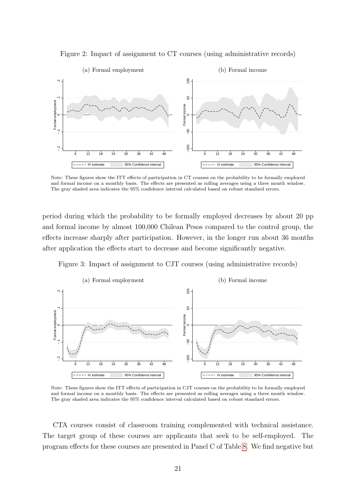<span id="page-23-0"></span>



Note: These figures show the ITT effects of participation in CT courses on the probability to be formally employed and formal income on a monthly basis. The effects are presented as rolling averages using a three month window. The gray shaded area indicates the 95% confidence interval calculated based on robust standard errors.

period during which the probability to be formally employed decreases by about 20 pp and formal income by almost 100,000 Chilean Pesos compared to the control group, the effects increase sharply after participation. However, in the longer run about 36 months after application the effects start to decrease and become significantly negative.

<span id="page-23-1"></span>Figure 3: Impact of assignment to CJT courses (using administrative records)



Note: These figures show the ITT effects of participation in CJT courses on the probability to be formally employed and formal income on a monthly basis. The effects are presented as rolling averages using a three month window. The gray shaded area indicates the 95% confidence interval calculated based on robust standard errors.

CTA courses consist of classroom training complemented with technical assistance. The target group of these courses are applicants that seek to be self-employed. The program effects for these courses are presented in Panel C of Table [8.](#page-22-0) We find negative but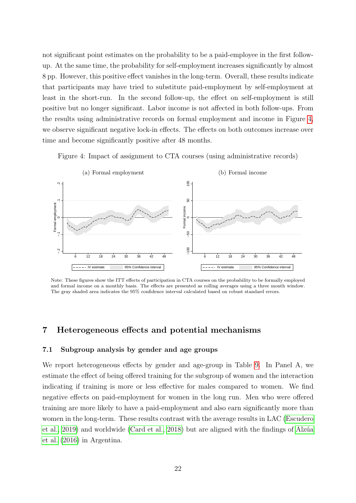not significant point estimates on the probability to be a paid-employee in the first followup. At the same time, the probability for self-employment increases significantly by almost 8 pp. However, this positive effect vanishes in the long-term. Overall, these results indicate that participants may have tried to substitute paid-employment by self-employment at least in the short-run. In the second follow-up, the effect on self-employment is still positive but no longer significant. Labor income is not affected in both follow-ups. From the results using administrative records on formal employment and income in Figure [4,](#page-24-0) we observe significant negative lock-in effects. The effects on both outcomes increase over time and become significantly positive after 48 months.

<span id="page-24-0"></span>Figure 4: Impact of assignment to CTA courses (using administrative records)



Note: These figures show the ITT effects of participation in CTA courses on the probability to be formally employed and formal income on a monthly basis. The effects are presented as rolling averages using a three month window. The gray shaded area indicates the 95% confidence interval calculated based on robust standard errors.

## 7 Heterogeneous effects and potential mechanisms

#### 7.1 Subgroup analysis by gender and age groups

We report heterogeneous effects by gender and age-group in Table [9.](#page-25-0) In Panel A, we estimate the effect of being offered training for the subgroup of women and the interaction indicating if training is more or less effective for males compared to women. We find negative effects on paid-employment for women in the long run. Men who were offered training are more likely to have a paid-employment and also earn significantly more than women in the long-term. These results contrast with the average results in LAC [\(Escudero](#page-31-0) [et al., 2019\)](#page-31-0) and worldwide [\(Card et al., 2018\)](#page-30-10) but are aligned with the findings of Alzúa [et al.](#page-30-3) [\(2016\)](#page-30-3) in Argentina.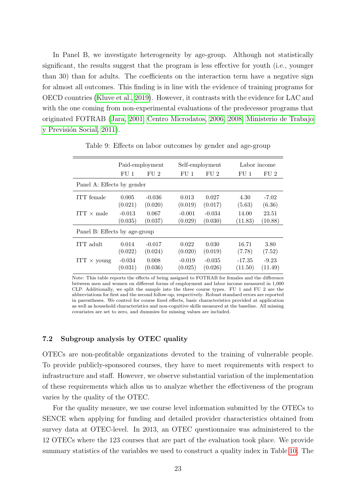In Panel B, we investigate heterogeneity by age-group. Although not statistically significant, the results suggest that the program is less effective for youth (i.e., younger than 30) than for adults. The coefficients on the interaction term have a negative sign for almost all outcomes. This finding is in line with the evidence of training programs for OECD countries [\(Kluve et al., 2019\)](#page-32-10). However, it contrasts with the evidence for LAC and with the one coming from non-experimental evaluations of the predecessor programs that originated FOTRAB [\(Jara, 2001;](#page-32-3) [Centro Microdatos, 2006,](#page-31-2) [2008;](#page-31-3) [Ministerio de Trabajo](#page-32-4) y Previsión Social, 2011).

<span id="page-25-0"></span>

|                               | Paid-employment |          | Self-employment |                 |                 | Labor income    |  |  |
|-------------------------------|-----------------|----------|-----------------|-----------------|-----------------|-----------------|--|--|
|                               | FU <sub>1</sub> | FU2      | FU <sub>1</sub> | FU <sub>2</sub> | FU <sub>1</sub> | FU <sub>2</sub> |  |  |
| Panel A: Effects by gender    |                 |          |                 |                 |                 |                 |  |  |
| ITT female                    | 0.005           | $-0.036$ | 0.013           | 0.027           | 4.30            | $-7.02$         |  |  |
|                               | (0.021)         | (0.020)  | (0.019)         | (0.017)         | (5.63)          | (6.36)          |  |  |
| $ITT \times male$             | $-0.013$        | 0.067    | $-0.001$        | $-0.034$        | 14.00           | 23.51           |  |  |
|                               | (0.035)         | (0.037)  | (0.029)         | (0.030)         | (11.83)         | (10.88)         |  |  |
| Panel B: Effects by age-group |                 |          |                 |                 |                 |                 |  |  |
| ITT adult                     | 0.014           | $-0.017$ | 0.022           | 0.030           | 16.71           | 3.80            |  |  |
|                               | (0.022)         | (0.024)  | (0.020)         | (0.019)         | (7.78)          | (7.52)          |  |  |
| $ITT \times young$            | $-0.034$        | 0.008    | $-0.019$        | $-0.035$        | $-17.35$        | $-9.23$         |  |  |
|                               | (0.031)         | (0.036)  | (0.025)         | (0.026)         | (11.50)         | (11.49)         |  |  |

Table 9: Effects on labor outcomes by gender and age-group

Note: This table reports the effects of being assigned to FOTRAB for females and the difference between men and women on different forms of employment and labor income measured in 1,000 CLP. Additionally, we split the sample into the three course types. FU 1 and FU 2 are the abbreviations for first and the second follow-up, respectively. Robust standard errors are reported in parentheses. We control for course fixed effects, basic characteristics provided at application as well as household characteristics and non-cognitive skills measured at the baseline. All missing covariates are set to zero, and dummies for missing values are included.

#### 7.2 Subgroup analysis by OTEC quality

OTECs are non-profitable organizations devoted to the training of vulnerable people. To provide publicly-sponsored courses, they have to meet requirements with respect to infrastructure and staff. However, we observe substantial variation of the implementation of these requirements which allos us to analyze whether the effectiveness of the program varies by the quality of the OTEC.

For the quality measure, we use course level information submitted by the OTECs to SENCE when applying for funding and detailed provider characteristics obtained from survey data at OTEC-level. In 2013, an OTEC questionnaire was administered to the 12 OTECs where the 123 courses that are part of the evaluation took place. We provide summary statistics of the variables we used to construct a quality index in Table [10.](#page-27-0) The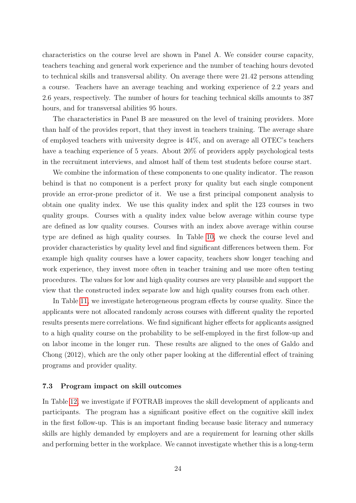characteristics on the course level are shown in Panel A. We consider course capacity, teachers teaching and general work experience and the number of teaching hours devoted to technical skills and transversal ability. On average there were 21.42 persons attending a course. Teachers have an average teaching and working experience of 2.2 years and 2.6 years, respectively. The number of hours for teaching technical skills amounts to 387 hours, and for transversal abilities 95 hours.

The characteristics in Panel B are measured on the level of training providers. More than half of the provides report, that they invest in teachers training. The average share of employed teachers with university degree is 44%, and on average all OTEC's teachers have a teaching experience of 5 years. About 20% of providers apply psychological tests in the recruitment interviews, and almost half of them test students before course start.

We combine the information of these components to one quality indicator. The reason behind is that no component is a perfect proxy for quality but each single component provide an error-prone predictor of it. We use a first principal component analysis to obtain one quality index. We use this quality index and split the 123 courses in two quality groups. Courses with a quality index value below average within course type are defined as low quality courses. Courses with an index above average within course type are defined as high quality courses. In Table [10,](#page-27-0) we check the course level and provider characteristics by quality level and find significant differences between them. For example high quality courses have a lower capacity, teachers show longer teaching and work experience, they invest more often in teacher training and use more often testing procedures. The values for low and high quality courses are very plausible and support the view that the constructed index separate low and high quality courses from each other.

In Table [11,](#page-27-1) we investigate heterogeneous program effects by course quality. Since the applicants were not allocated randomly across courses with different quality the reported results presents mere correlations. We find significant higher effects for applicants assigned to a high quality course on the probability to be self-employed in the first follow-up and on labor income in the longer run. These results are aligned to the ones of Galdo and Chong (2012), which are the only other paper looking at the differential effect of training programs and provider quality.

## 7.3 Program impact on skill outcomes

In Table [12,](#page-28-0) we investigate if FOTRAB improves the skill development of applicants and participants. The program has a significant positive effect on the cognitive skill index in the first follow-up. This is an important finding because basic literacy and numeracy skills are highly demanded by employers and are a requirement for learning other skills and performing better in the workplace. We cannot investigate whether this is a long-term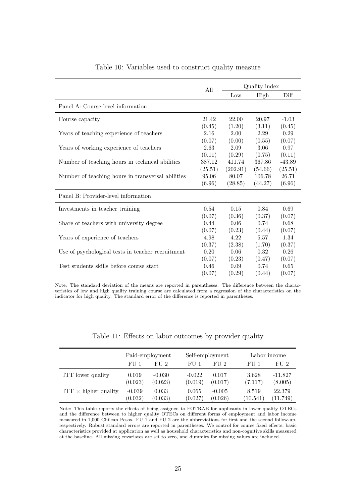<span id="page-27-0"></span>

|                                                   | All     | Quality index |         |          |  |
|---------------------------------------------------|---------|---------------|---------|----------|--|
|                                                   |         | Low           | High    | Diff     |  |
| Panel A: Course-level information                 |         |               |         |          |  |
| Course capacity                                   | 21.42   | 22.00         | 20.97   | $-1.03$  |  |
| Years of teaching experience of teachers          | (0.45)  | (1.20)        | (3.11)  | (0.45)   |  |
|                                                   | 2.16    | 2.00          | 2.29    | 0.29     |  |
| Years of working experience of teachers           | (0.07)  | (0.00)        | (0.55)  | (0.07)   |  |
|                                                   | 2.63    | 2.09          | 3.06    | 0.97     |  |
|                                                   | (0.11)  | (0.29)        | (0.75)  | (0.11)   |  |
| Number of teaching hours in technical abilities   | 387.12  | 411.74        | 367.86  | $-43.89$ |  |
|                                                   | (25.51) | (202.91)      | (54.66) | (25.51)  |  |
| Number of teaching hours in transversal abilities | 95.06   | 80.07         | 106.78  | 26.71    |  |
|                                                   | (6.96)  | (28.85)       | (44.27) | (6.96)   |  |
| Panel B: Provider-level information               |         |               |         |          |  |
| Investments in teacher training                   | 0.54    | 0.15          | 0.84    | 0.69     |  |
| Share of teachers with university degree          | (0.07)  | (0.36)        | (0.37)  | (0.07)   |  |
|                                                   | 0.44    | 0.06          | 0.74    | 0.68     |  |
| Years of experience of teachers                   | (0.07)  | (0.23)        | (0.44)  | (0.07)   |  |
|                                                   | 4.98    | 4.22          | 5.57    | 1.34     |  |
| Use of psychological tests in teacher recruitment | (0.37)  | (2.38)        | (1.70)  | (0.37)   |  |
|                                                   | 0.20    | 0.06          | 0.32    | $0.26\,$ |  |
|                                                   | (0.07)  | (0.23)        | (0.47)  | (0.07)   |  |
| Test students skills before course start          | 0.46    | 0.09          | 0.74    | 0.65     |  |
|                                                   | (0.07)  | (0.29)        | (0.44)  | (0.07)   |  |

## Table 10: Variables used to construct quality measure

Note: The standard deviation of the means are reported in parentheses. The difference between the characteristics of low and high quality training course are calculated from a regression of the characteristics on the indicator for high quality. The standard error of the difference is reported in parentheses.

<span id="page-27-1"></span>

|                             | Paid-employment |          |          | Self-employment |          | Labor income |  |  |
|-----------------------------|-----------------|----------|----------|-----------------|----------|--------------|--|--|
|                             | FU 1            | FI12     | FU 1     | FII.2           | FU 1     | FU 2         |  |  |
| ITT lower quality           | 0.019           | $-0.030$ | $-0.022$ | 0.017           | 3.628    | $-11.827$    |  |  |
|                             | (0.023)         | (0.023)  | (0.019)  | (0.017)         | (7.117)  | (8.005)      |  |  |
| $ITT \times higher$ quality | $-0.039$        | 0.033    | 0.065    | $-0.005$        | 8.519    | 22.379       |  |  |
|                             | (0.032)         | (0.033)  | (0.027)  | (0.026)         | (10.541) | (11.749)     |  |  |

Table 11: Effects on labor outcomes by provider quality

Note: This table reports the effects of being assigned to FOTRAB for applicants in lower quality OTECs and the difference between to higher quality OTECs on different forms of employment and labor income measured in 1,000 Chilean Pesos. FU 1 and FU 2 are the abbreviations for first and the second follow-up, respectively. Robust standard errors are reported in parentheses. We control for course fixed effects, basic characteristics provided at application as well as household characteristics and non-cognitive skills measured at the baseline. All missing covariates are set to zero, and dummies for missing values are included.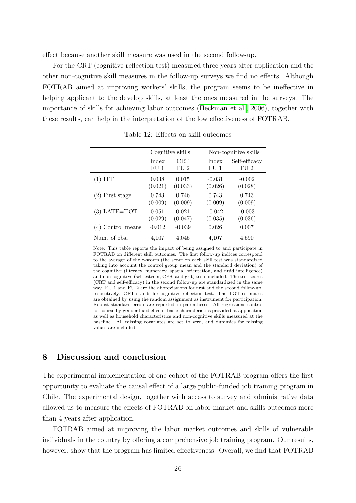effect because another skill measure was used in the second follow-up.

For the CRT (cognitive reflection test) measured three years after application and the other non-cognitive skill measures in the follow-up surveys we find no effects. Although FOTRAB aimed at improving workers' skills, the program seems to be ineffective in helping applicant to the develop skills, at least the ones measured in the surveys. The importance of skills for achieving labor outcomes [\(Heckman et al., 2006\)](#page-31-10), together with these results, can help in the interpretation of the low effectiveness of FOTRAB.

<span id="page-28-0"></span>

|                   |          | Cognitive skills |          | Non-cognitive skills |
|-------------------|----------|------------------|----------|----------------------|
|                   | Index    | <b>CRT</b>       | Index    | Self-efficacy        |
|                   | FU 1     | FU 2             | FU 1     | FU <sub>2</sub>      |
| $(1)$ ITT         | 0.038    | 0.015            | $-0.031$ | $-0.002$             |
|                   | (0.021)  | (0.033)          | (0.026)  | (0.028)              |
| $(2)$ First stage | 0.743    | 0.746            | 0.743    | 0.743                |
|                   | (0.009)  | (0.009)          | (0.009)  | (0.009)              |
| $(3)$ LATE=TOT    | 0.051    | 0.021            | $-0.042$ | $-0.003$             |
|                   | (0.029)  | (0.047)          | (0.035)  | (0.036)              |
| (4) Control means | $-0.012$ | $-0.039$         | 0.026    | 0.007                |
| Num. of obs.      | 4,107    | 4,045            | 4,107    | 4,590                |

Table 12: Effects on skill outcomes

Note: This table reports the impact of being assigned to and participate in FOTRAB on different skill outcomes. The first follow-up indices correspond to the average of the z-scores (the score on each skill test was standardized taking into account the control group mean and the standard deviation) of the cognitive (literacy, numeracy, spatial orientation, and fluid intelligence) and non-cognitive (self-esteem, CPS, and grit) tests included. The test scores (CRT and self-efficacy) in the second follow-up are standardized in the same way. FU 1 and FU 2 are the abbreviations for first and the second follow-up, respectively. CRT stands for cognitive reflection test. The TOT estimates are obtained by using the random assignment as instrument for participation. Robust standard errors are reported in parentheses. All regressions control for course-by-gender fixed effects, basic characteristics provided at application as well as household characteristics and non-cognitive skills measured at the baseline. All missing covariates are set to zero, and dummies for missing values are included.

## 8 Discussion and conclusion

The experimental implementation of one cohort of the FOTRAB program offers the first opportunity to evaluate the causal effect of a large public-funded job training program in Chile. The experimental design, together with access to survey and administrative data allowed us to measure the effects of FOTRAB on labor market and skills outcomes more than 4 years after application.

FOTRAB aimed at improving the labor market outcomes and skills of vulnerable individuals in the country by offering a comprehensive job training program. Our results, however, show that the program has limited effectiveness. Overall, we find that FOTRAB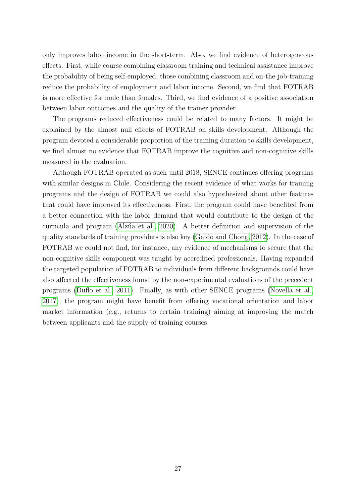only improves labor income in the short-term. Also, we find evidence of heterogeneous effects. First, while course combining classroom training and technical assistance improve the probability of being self-employed, those combining classroom and on-the-job-training reduce the probability of employment and labor income. Second, we find that FOTRAB is more effective for male than females. Third, we find evidence of a positive association between labor outcomes and the quality of the trainer provider.

The programs reduced effectiveness could be related to many factors. It might be explained by the almost null effects of FOTRAB on skills development. Although the program devoted a considerable proportion of the training duration to skills development, we find almost no evidence that FOTRAB improve the cognitive and non-cognitive skills measured in the evaluation.

Although FOTRAB operated as such until 2018, SENCE continues offering programs with similar designs in Chile. Considering the recent evidence of what works for training programs and the design of FOTRAB we could also hypothesized about other features that could have improved its effectiveness. First, the program could have benefited from a better connection with the labor demand that would contribute to the design of the curricula and program (Alzúa et al., 2020). A better definition and supervision of the quality standards of training providers is also key [\(Galdo and Chong, 2012\)](#page-31-11). In the case of FOTRAB we could not find, for instance, any evidence of mechanisms to secure that the non-cognitive skills component was taught by accredited professionals. Having expanded the targeted population of FOTRAB to individuals from different backgrounds could have also affected the effectiveness found by the non-experimental evaluations of the precedent programs [\(Duflo et al., 2011\)](#page-31-12). Finally, as with other SENCE programs [\(Novella et al.,](#page-32-2) [2017\)](#page-32-2), the program might have benefit from offering vocational orientation and labor market information (e.g., returns to certain training) aiming at improving the match between applicants and the supply of training courses.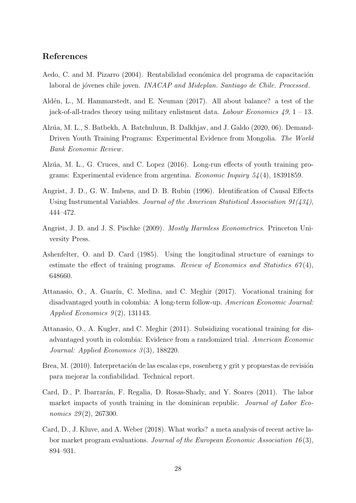## References

- <span id="page-30-4"></span>Aedo, C. and M. Pizarro (2004). Rentabilidad económica del programa de capacitación laboral de jóvenes chile joven. INACAP and Mideplan. Santiago de Chile. Processed.
- <span id="page-30-5"></span>Aldén, L., M. Hammarstedt, and E. Neuman (2017). All about balance? a test of the jack-of-all-trades theory using military enlistment data. Labour Economics  $49, 1 - 13$ .
- <span id="page-30-11"></span>Alzúa, M. L., S. Batbekh, A. Batchuluun, B. Dalkhjav, and J. Galdo (2020, 06). Demand-Driven Youth Training Programs: Experimental Evidence from Mongolia. The World Bank Economic Review.
- <span id="page-30-3"></span>Alzúa, M. L., G. Cruces, and C. Lopez (2016). Long-run effects of youth training programs: Experimental evidence from argentina. *Economic Inquiry*  $54(4)$ , 18391859.
- <span id="page-30-8"></span>Angrist, J. D., G. W. Imbens, and D. B. Rubin (1996). Identification of Causal Effects Using Instrumental Variables. Journal of the American Statistical Association 91(434), 444–472.
- <span id="page-30-7"></span>Angrist, J. D. and J. S. Pischke (2009). Mostly Harmless Econometrics. Princeton University Press.
- <span id="page-30-9"></span>Ashenfelter, O. and D. Card (1985). Using the longitudinal structure of earnings to estimate the effect of training programs. Review of Economics and Statistics  $67(4)$ , 648660.
- <span id="page-30-2"></span>Attanasio, O., A. Guarín, C. Medina, and C. Meghir (2017). Vocational training for disadvantaged youth in colombia: A long-term follow-up. American Economic Journal: Applied Economics  $9(2)$ , 131143.
- <span id="page-30-0"></span>Attanasio, O., A. Kugler, and C. Meghir (2011). Subsidizing vocational training for disadvantaged youth in colombia: Evidence from a randomized trial. American Economic Journal: Applied Economics 3(3), 188220.
- <span id="page-30-6"></span>Brea, M. (2010). Interpretación de las escalas cps, rosenberg y grit y propuestas de revisión para mejorar la confiabilidad. Technical report.
- <span id="page-30-1"></span>Card, D., P. Ibarrarán, F. Regalia, D. Rosas-Shady, and Y. Soares (2011). The labor market impacts of youth training in the dominican republic. Journal of Labor Economics 29(2), 267300.
- <span id="page-30-10"></span>Card, D., J. Kluve, and A. Weber (2018). What works? a meta analysis of recent active labor market program evaluations. Journal of the European Economic Association 16 (3), 894–931.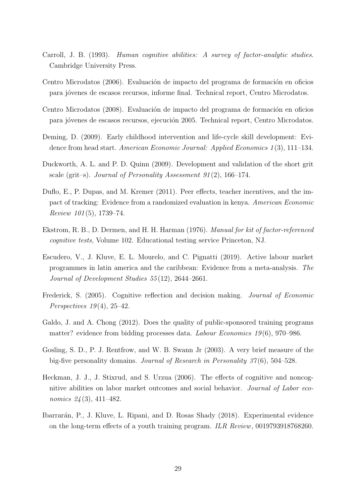- <span id="page-31-5"></span>Carroll, J. B. (1993). Human cognitive abilities: A survey of factor-analytic studies. Cambridge University Press.
- <span id="page-31-2"></span>Centro Microdatos (2006). Evaluación de impacto del programa de formación en oficios para j´ovenes de escasos recursos, informe final. Technical report, Centro Microdatos.
- <span id="page-31-3"></span>Centro Microdatos (2008). Evaluación de impacto del programa de formación en oficios para jóvenes de escasos recursos, ejecución 2005. Technical report, Centro Microdatos.
- <span id="page-31-9"></span>Deming, D. (2009). Early childhood intervention and life-cycle skill development: Evidence from head start. American Economic Journal: Applied Economics 1 (3), 111–134.
- <span id="page-31-8"></span>Duckworth, A. L. and P. D. Quinn (2009). Development and validation of the short grit scale (grit–s). Journal of Personality Assessment 91(2), 166–174.
- <span id="page-31-12"></span>Duflo, E., P. Dupas, and M. Kremer (2011). Peer effects, teacher incentives, and the impact of tracking: Evidence from a randomized evaluation in kenya. American Economic Review 101 (5), 1739–74.
- <span id="page-31-4"></span>Ekstrom, R. B., D. Dermen, and H. H. Harman (1976). Manual for kit of factor-referenced cognitive tests, Volume 102. Educational testing service Princeton, NJ.
- <span id="page-31-0"></span>Escudero, V., J. Kluve, E. L. Mourelo, and C. Pignatti (2019). Active labour market programmes in latin america and the caribbean: Evidence from a meta-analysis. The Journal of Development Studies 55 (12), 2644–2661.
- <span id="page-31-7"></span>Frederick, S. (2005). Cognitive reflection and decision making. Journal of Economic Perspectives  $19(4)$ ,  $25-42$ .
- <span id="page-31-11"></span>Galdo, J. and A. Chong (2012). Does the quality of public-sponsored training programs matter? evidence from bidding processes data. *Labour Economics 19*(6), 970–986.
- <span id="page-31-6"></span>Gosling, S. D., P. J. Rentfrow, and W. B. Swann Jr (2003). A very brief measure of the big-five personality domains. Journal of Research in Personality 37 (6), 504–528.
- <span id="page-31-10"></span>Heckman, J. J., J. Stixrud, and S. Urzua (2006). The effects of cognitive and noncognitive abilities on labor market outcomes and social behavior. Journal of Labor economics 24 (3), 411–482.
- <span id="page-31-1"></span>Ibarrar´an, P., J. Kluve, L. Ripani, and D. Rosas Shady (2018). Experimental evidence on the long-term effects of a youth training program. ILR Review, 0019793918768260.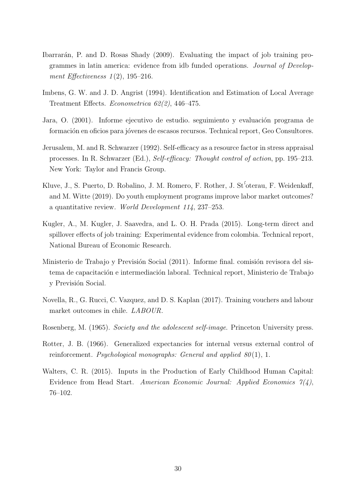- <span id="page-32-0"></span>Ibarrarán, P. and D. Rosas Shady (2009). Evaluating the impact of job training programmes in latin america: evidence from idb funded operations. Journal of Development Effectiveness 1(2), 195-216.
- <span id="page-32-8"></span>Imbens, G. W. and J. D. Angrist (1994). Identification and Estimation of Local Average Treatment Effects. Econometrica 62(2), 446–475.
- <span id="page-32-3"></span>Jara, O. (2001). Informe ejecutivo de estudio. seguimiento y evaluación programa de formación en oficios para jóvenes de escasos recursos. Technical report, Geo Consultores.
- <span id="page-32-7"></span>Jerusalem, M. and R. Schwarzer (1992). Self-efficacy as a resource factor in stress appraisal processes. In R. Schwarzer (Ed.), Self-efficacy: Thought control of action, pp. 195–213. New York: Taylor and Francis Group.
- <span id="page-32-10"></span>Kluve, J., S. Puerto, D. Robalino, J. M. Romero, F. Rother, J. St'oterau, F. Weidenkaff, and M. Witte (2019). Do youth employment programs improve labor market outcomes? a quantitative review. World Development 114, 237–253.
- <span id="page-32-1"></span>Kugler, A., M. Kugler, J. Saavedra, and L. O. H. Prada (2015). Long-term direct and spillover effects of job training: Experimental evidence from colombia. Technical report, National Bureau of Economic Research.
- <span id="page-32-4"></span>Ministerio de Trabajo y Previsión Social (2011). Informe final. comisión revisora del sistema de capacitación e intermediación laboral. Technical report, Ministerio de Trabajo y Previsión Social.
- <span id="page-32-2"></span>Novella, R., G. Rucci, C. Vazquez, and D. S. Kaplan (2017). Training vouchers and labour market outcomes in chile. LABOUR.
- <span id="page-32-6"></span>Rosenberg, M. (1965). Society and the adolescent self-image. Princeton University press.
- <span id="page-32-5"></span>Rotter, J. B. (1966). Generalized expectancies for internal versus external control of reinforcement. Psychological monographs: General and applied  $80(1)$ , 1.
- <span id="page-32-9"></span>Walters, C. R. (2015). Inputs in the Production of Early Childhood Human Capital: Evidence from Head Start. American Economic Journal: Applied Economics  $\gamma(1)$ , 76–102.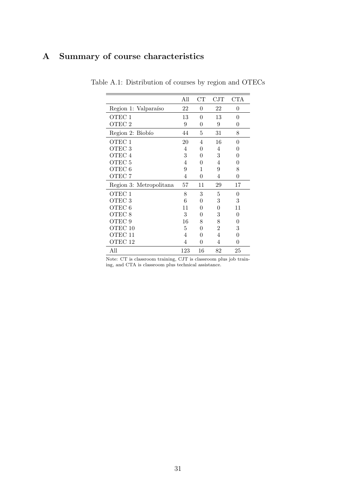# <span id="page-33-0"></span>A Summary of course characteristics

|                         | All | CT             | $\rm CJT$      | <b>CTA</b> |
|-------------------------|-----|----------------|----------------|------------|
| Region 1: Valparaíso    | 22  | $\overline{0}$ | 22             | 0          |
| OTEC <sub>1</sub>       | 13  | $\overline{0}$ | 13             | $\theta$   |
| OTEC <sub>2</sub>       | 9   | 0              | 9              | $\theta$   |
| Region 2: Biobío        | 44  | 5              | 31             | 8          |
| OTEC <sub>1</sub>       | 20  | 4              | 16             | $\theta$   |
| OTEC 3                  | 4   | 0              | 4              | 0          |
| OTEC 4                  | 3   | 0              | 3              | 0          |
| OTEC <sub>5</sub>       | 4   | 0              | 4              | 0          |
| OTEC <sub>6</sub>       | 9   | 1              | 9              | 8          |
| OTEC <sub>7</sub>       | 4   | 0              | 4              | $\theta$   |
| Region 3: Metropolitana | 57  | 11             | 29             | 17         |
| OTEC 1                  | 8   | 3              | 5              | $\theta$   |
| OTEC 3                  | 6   | 0              | 3              | 3          |
| OTEC 6                  | 11  | 0              | $\overline{0}$ | 11         |
| OTEC 8                  | 3   | 0              | 3              | $\theta$   |
| OTEC 9                  | 16  | 8              | 8              | 0          |
| OTEC 10                 | 5   | 0              | $\overline{2}$ | 3          |
| OTEC 11                 | 4   | 0              | $\overline{4}$ | $\theta$   |
| OTEC 12                 | 4   | 0              | 4              | $\theta$   |
| All                     | 123 | 16             | 82             | 25         |

Table A.1: Distribution of courses by region and OTECs

Note: CT is classroom training, CJT is classroom plus job training, and CTA is classroom plus technical assistance.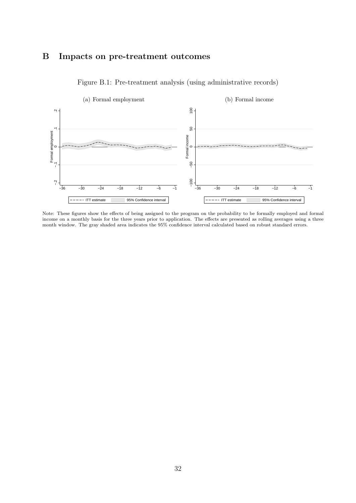# B Impacts on pre-treatment outcomes

<span id="page-34-0"></span>

Figure B.1: Pre-treatment analysis (using administrative records)

Note: These figures show the effects of being assigned to the program on the probability to be formally employed and formal income on a monthly basis for the three years prior to application. The effects are presented as rolling averages using a three month window. The gray shaded area indicates the 95% confidence interval calculated based on robust standard errors.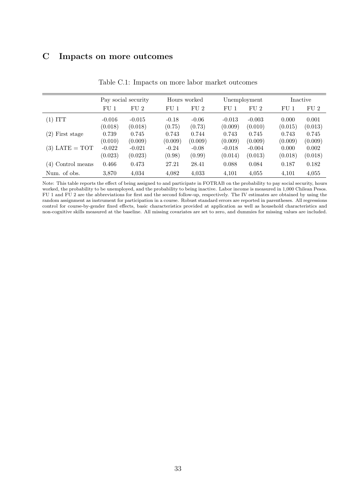# C Impacts on more outcomes

<span id="page-35-0"></span>

|                   | Pay social security |                 | Hours worked    |         | Unemployment    |          | Inactive        |         |
|-------------------|---------------------|-----------------|-----------------|---------|-----------------|----------|-----------------|---------|
|                   | FU <sub>1</sub>     | FU <sub>2</sub> | FU <sub>1</sub> | FU2     | FU <sub>1</sub> | FU2      | FU <sub>1</sub> | FU2     |
| $(1)$ ITT         | $-0.016$            | $-0.015$        | $-0.18$         | $-0.06$ | $-0.013$        | $-0.003$ | 0.000           | 0.001   |
|                   | (0.018)             | (0.018)         | (0.75)          | (0.73)  | (0.009)         | (0.010)  | (0.015)         | (0.013) |
| $(2)$ First stage | 0.739               | 0.745           | 0.743           | 0.744   | 0.743           | 0.745    | 0.743           | 0.745   |
|                   | (0.010)             | (0.009)         | (0.009)         | (0.009) | (0.009)         | (0.009)  | (0.009)         | (0.009) |
| $(3)$ LATE = TOT  | $-0.022$            | $-0.021$        | $-0.24$         | $-0.08$ | $-0.018$        | $-0.004$ | 0.000           | 0.002   |
|                   | (0.023)             | (0.023)         | (0.98)          | (0.99)  | (0.014)         | (0.013)  | (0.018)         | (0.018) |
| (4) Control means | 0.466               | 0.473           | 27.21           | 28.41   | 0.088           | 0.084    | 0.187           | 0.182   |
| Num. of obs.      | 3.870               | 4,034           | 4,082           | 4,033   | 4,101           | 4,055    | 4,101           | 4,055   |

Table C.1: Impacts on more labor market outcomes

Note: This table reports the effect of being assigned to and participate in FOTRAB on the probability to pay social security, hours worked, the probability to be unemployed, and the probability to being inactive. Labor income is measured in 1,000 Chilean Pesos. FU 1 and FU 2 are the abbreviations for first and the second follow-up, respectively. The IV estimates are obtained by using the random assignment as instrument for participation in a course. Robust standard errors are reported in parentheses. All regressions control for course-by-gender fixed effects, basic characteristics provided at application as well as household characteristics and non-cognitive skills measured at the baseline. All missing covariates are set to zero, and dummies for missing values are included.